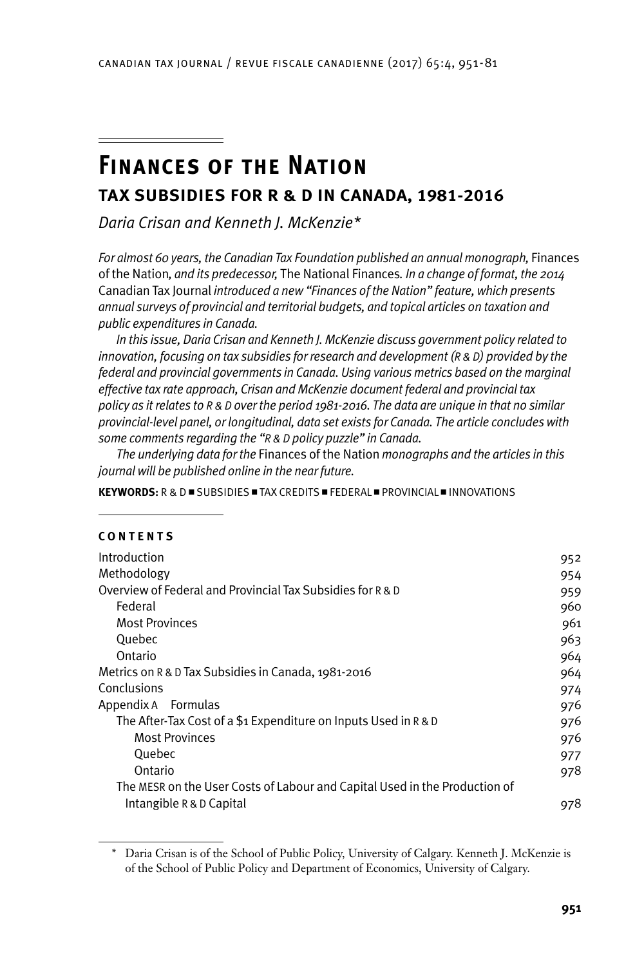# **Finances of the Nation**

## **Tax Subsidies for R & D in Canada, 1981-2016**

*Daria Crisan and Kenneth J. McKenzie\**

*For almost 60 years, the Canadian Tax Foundation published an annual monograph,* Finances of the Nation*, and its predecessor,* The National Finances*. In a change of format, the 2014*  Canadian Tax Journal *introduced a new "Finances of the Nation" feature, which presents annual surveys of provincial and territorial budgets, and topical articles on taxation and public expenditures in Canada.*

*In this issue, Daria Crisan and Kenneth J. McKenzie discuss government policy related to innovation, focusing on tax subsidies for research and development (R & D) provided by the federal and provincial governments in Canada. Using various metrics based on the marginal effective tax rate approach, Crisan and McKenzie document federal and provincial tax policy as it relates to r & d over the period 1981-2016. The data are unique in that no similar provincial-level panel, or longitudinal, data set exists for Canada. The article concludes with some comments regarding the "r & d policy puzzle" in Canada.*

*The underlying data for the* Finances of the Nation *monographs and the articles in this journal will be published online in the near future.*

**KEYWORDS:**  $R \& D = SUBSIDIES = TAX CREDITS = FEDERAL = PROVINCIAL = INNOVATIONS$ 

#### **C o nt e nts**

| Introduction                                                               | 952 |
|----------------------------------------------------------------------------|-----|
| Methodology                                                                | 954 |
| Overview of Federal and Provincial Tax Subsidies for R & D                 | 959 |
| Federal                                                                    | 960 |
| <b>Most Provinces</b>                                                      | 961 |
| Quebec                                                                     | 963 |
| Ontario                                                                    | 964 |
| Metrics on R & D Tax Subsidies in Canada, 1981-2016                        | 964 |
| Conclusions                                                                | 974 |
| Appendix A Formulas                                                        | 976 |
| The After-Tax Cost of a \$1 Expenditure on Inputs Used in R & D            | 976 |
| <b>Most Provinces</b>                                                      | 976 |
| Quebec                                                                     | 977 |
| Ontario                                                                    | 978 |
| The MESR on the User Costs of Labour and Capital Used in the Production of |     |
| Intangible R & D Capital                                                   | 978 |

<sup>\*</sup> Daria Crisan is of the School of Public Policy, University of Calgary. Kenneth J. McKenzie is of the School of Public Policy and Department of Economics, University of Calgary.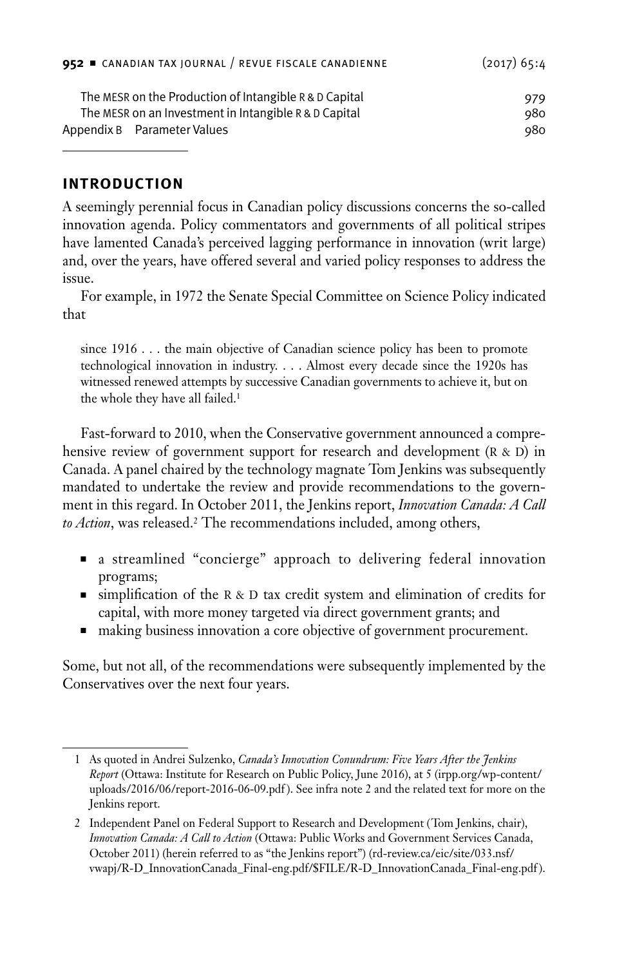<span id="page-1-0"></span>

|                                                       | $952$ $\equiv$ CANADIAN TAX JOURNAL / REVUE FISCALE CANADIENNE | $(2017)$ 65:4 |
|-------------------------------------------------------|----------------------------------------------------------------|---------------|
|                                                       | The MESR on the Production of Intangible R & D Capital         | 979           |
| The MESR on an Investment in Intangible R & D Capital |                                                                | 980           |
|                                                       | Appendix B Parameter Values                                    | 980           |

## **Introduction**

A seemingly perennial focus in Canadian policy discussions concerns the so-called innovation agenda. Policy commentators and governments of all political stripes have lamented Canada's perceived lagging performance in innovation (writ large) and, over the years, have offered several and varied policy responses to address the issue.

For example, in 1972 the Senate Special Committee on Science Policy indicated that

since 1916 . . . the main objective of Canadian science policy has been to promote technological innovation in industry. . . . Almost every decade since the 1920s has witnessed renewed attempts by successive Canadian governments to achieve it, but on the whole they have all failed.1

Fast-forward to 2010, when the Conservative government announced a comprehensive review of government support for research and development  $(R & D)$  in Canada. A panel chaired by the technology magnate Tom Jenkins was subsequently mandated to undertake the review and provide recommendations to the government in this regard. In October 2011, the Jenkins report, *Innovation Canada: A Call to Action*, was released.2 The recommendations included, among others,

- <sup>n</sup> a streamlined "concierge" approach to delivering federal innovation programs;
- ighthrough simplification of the R & D tax credit system and elimination of credits for capital, with more money targeted via direct government grants; and
- n making business innovation a core objective of government procurement.

Some, but not all, of the recommendations were subsequently implemented by the Conservatives over the next four years.

<sup>1</sup> As quoted in Andrei Sulzenko, *Canada's Innovation Conundrum: Five Years After the Jenkins Report* (Ottawa: Institute for Research on Public Policy, June 2016), at 5 (irpp.org/wp-content/ uploads/2016/06/report-2016-06-09.pdf ). See infra note 2 and the related text for more on the Jenkins report.

<sup>2</sup> Independent Panel on Federal Support to Research and Development (Tom Jenkins, chair), *Innovation Canada: A Call to Action* (Ottawa: Public Works and Government Services Canada, October 2011) (herein referred to as "the Jenkins report") (rd-review.ca/eic/site/033.nsf/ vwapj/R-D\_InnovationCanada\_Final-eng.pdf/\$FILE/R-D\_InnovationCanada\_Final-eng.pdf ).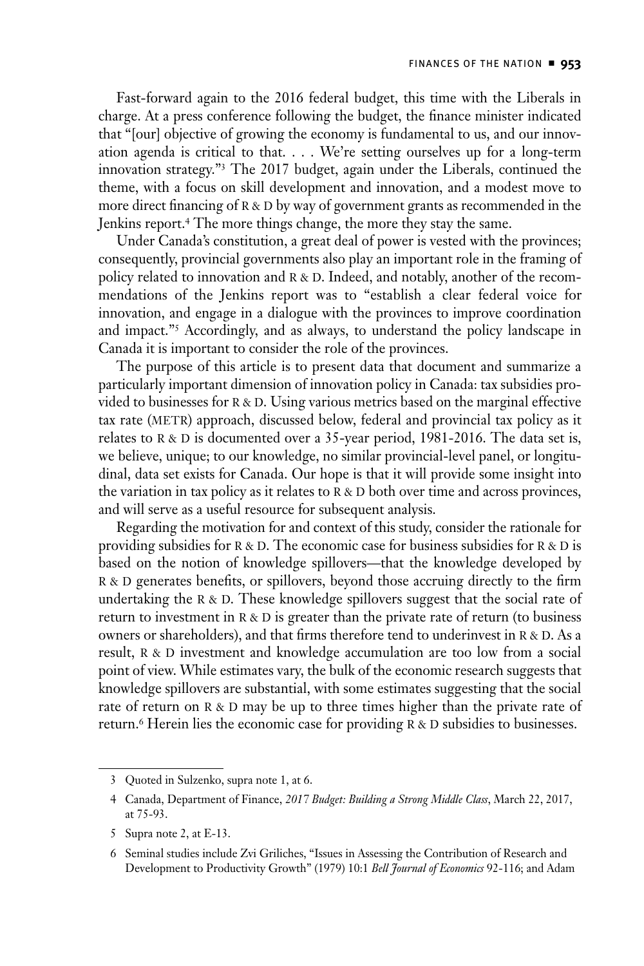Fast-forward again to the 2016 federal budget, this time with the Liberals in charge. At a press conference following the budget, the finance minister indicated that "[our] objective of growing the economy is fundamental to us, and our innovation agenda is critical to that. . . . We're setting ourselves up for a long-term innovation strategy."3 The 2017 budget, again under the Liberals, continued the theme, with a focus on skill development and innovation, and a modest move to more direct financing of  $R$  &  $D$  by way of government grants as recommended in the Jenkins report.4 The more things change, the more they stay the same.

Under Canada's constitution, a great deal of power is vested with the provinces; consequently, provincial governments also play an important role in the framing of policy related to innovation and R & D. Indeed, and notably, another of the recommendations of the Jenkins report was to "establish a clear federal voice for innovation, and engage in a dialogue with the provinces to improve coordination and impact."5 Accordingly, and as always, to understand the policy landscape in Canada it is important to consider the role of the provinces.

The purpose of this article is to present data that document and summarize a particularly important dimension of innovation policy in Canada: tax subsidies provided to businesses for R & D. Using various metrics based on the marginal effective tax rate (METR) approach, discussed below, federal and provincial tax policy as it relates to  $R & D$  is documented over a 35-year period, 1981-2016. The data set is, we believe, unique; to our knowledge, no similar provincial-level panel, or longitudinal, data set exists for Canada. Our hope is that it will provide some insight into the variation in tax policy as it relates to  $R \& D$  both over time and across provinces, and will serve as a useful resource for subsequent analysis.

Regarding the motivation for and context of this study, consider the rationale for providing subsidies for R & D. The economic case for business subsidies for R & D is based on the notion of knowledge spillovers—that the knowledge developed by R & D generates benefits, or spillovers, beyond those accruing directly to the firm undertaking the  $R & D$ . These knowledge spillovers suggest that the social rate of return to investment in  $R & D$  is greater than the private rate of return (to business owners or shareholders), and that firms therefore tend to underinvest in  $R & D.$  As a result, R & D investment and knowledge accumulation are too low from a social point of view. While estimates vary, the bulk of the economic research suggests that knowledge spillovers are substantial, with some estimates suggesting that the social rate of return on R & D may be up to three times higher than the private rate of return.<sup>6</sup> Herein lies the economic case for providing  $R & D$  subsidies to businesses.

<sup>3</sup> Quoted in Sulzenko, supra note 1, at 6.

<sup>4</sup> Canada, Department of Finance, *2017 Budget: Building a Strong Middle Class*, March 22, 2017, at 75-93.

<sup>5</sup> Supra note 2, at E-13.

<sup>6</sup> Seminal studies include Zvi Griliches, "Issues in Assessing the Contribution of Research and Development to Productivity Growth" (1979) 10:1 *Bell Journal of Economics* 92-116; and Adam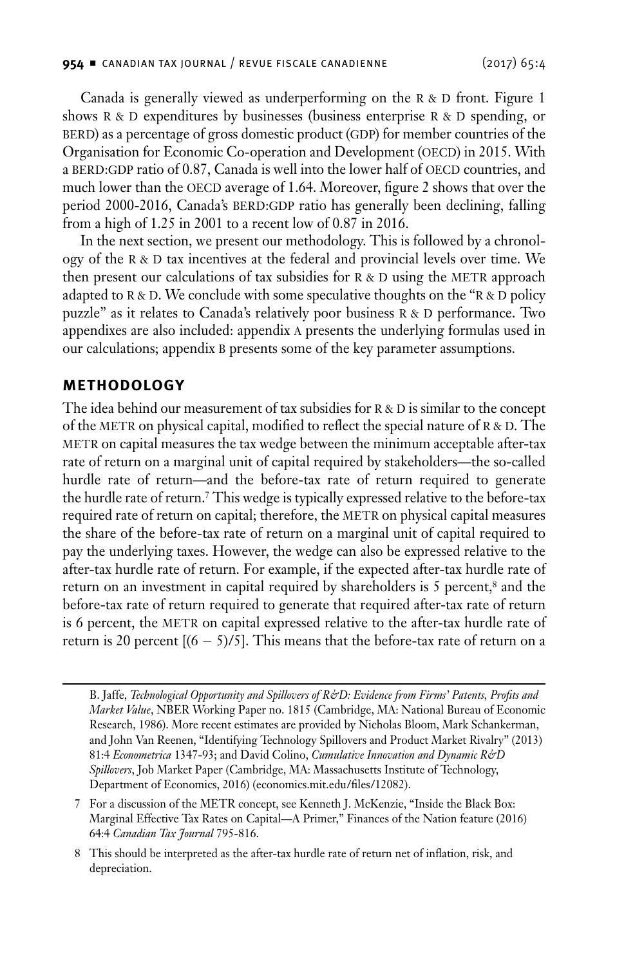<span id="page-3-0"></span>Canada is generally viewed as underperforming on the  $R > D$  front. Figure 1 shows  $R$  &  $D$  expenditures by businesses (business enterprise  $R$  &  $D$  spending, or BERD) as a percentage of gross domestic product (GDP) for member countries of the Organisation for Economic Co-operation and Development (OECD) in 2015. With a BERD:GDP ratio of 0.87, Canada is well into the lower half of OECD countries, and much lower than the OECD average of 1.64. Moreover, figure 2 shows that over the period 2000-2016, Canada's BERD:GDP ratio has generally been declining, falling from a high of 1.25 in 2001 to a recent low of 0.87 in 2016.

In the next section, we present our methodology. This is followed by a chronology of the  $R \& D$  tax incentives at the federal and provincial levels over time. We then present our calculations of tax subsidies for  $R & D$  using the METR approach adapted to R & D. We conclude with some speculative thoughts on the "R & D policy puzzle" as it relates to Canada's relatively poor business R & D performance. Two appendixes are also included: appendix a presents the underlying formulas used in our calculations; appendix b presents some of the key parameter assumptions.

#### **Methodology**

The idea behind our measurement of tax subsidies for  $R \& D$  is similar to the concept of the METR on physical capital, modified to reflect the special nature of  $R & D$ . The METR on capital measures the tax wedge between the minimum acceptable after-tax rate of return on a marginal unit of capital required by stakeholders—the so-called hurdle rate of return—and the before-tax rate of return required to generate the hurdle rate of return.7 This wedge is typically expressed relative to the before-tax required rate of return on capital; therefore, the METR on physical capital measures the share of the before-tax rate of return on a marginal unit of capital required to pay the underlying taxes. However, the wedge can also be expressed relative to the after-tax hurdle rate of return. For example, if the expected after-tax hurdle rate of return on an investment in capital required by shareholders is 5 percent,<sup>8</sup> and the before-tax rate of return required to generate that required after-tax rate of return is 6 percent, the METR on capital expressed relative to the after-tax hurdle rate of return is 20 percent  $[(6 - 5)/5]$ . This means that the before-tax rate of return on a

8 This should be interpreted as the after-tax hurdle rate of return net of inflation, risk, and depreciation.

B. Jaffe, *Technological Opportunity and Spillovers of R&D: Evidence from Firms' Patents, Profits and Market Value*, NBER Working Paper no. 1815 (Cambridge, MA: National Bureau of Economic Research, 1986). More recent estimates are provided by Nicholas Bloom, Mark Schankerman, and John Van Reenen, "Identifying Technology Spillovers and Product Market Rivalry" (2013) 81:4 *Econometrica* 1347-93; and David Colino, *Cumulative Innovation and Dynamic R&D Spillovers*, Job Market Paper (Cambridge, MA: Massachusetts Institute of Technology, Department of Economics, 2016) (economics.mit.edu/files/12082).

<sup>7</sup> For a discussion of the METR concept, see Kenneth J. McKenzie, "Inside the Black Box: Marginal Effective Tax Rates on Capital—A Primer," Finances of the Nation feature (2016) 64:4 *Canadian Tax Journal* 795-816.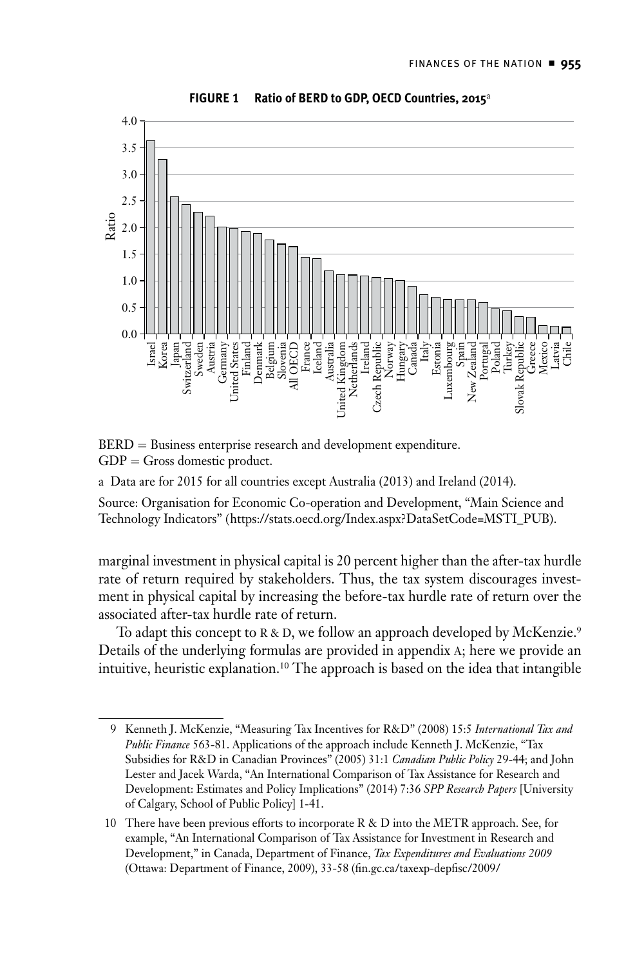

**FIGURE 1 Ratio of BERD to GDP, OECD Countries, 2015**<sup>a</sup>

BERD = Business enterprise research and development expenditure.  $GDP = Gross$  domestic product.

a Data are for 2015 for all countries except Australia (2013) and Ireland (2014).

Source: Organisation for Economic Co-operation and Development, "Main Science and Technology Indicators" (https://stats.oecd.org/Index.aspx?DataSetCode=MSTI\_PUB).

marginal investment in physical capital is 20 percent higher than the after-tax hurdle rate of return required by stakeholders. Thus, the tax system discourages investment in physical capital by increasing the before-tax hurdle rate of return over the associated after-tax hurdle rate of return.

To adapt this concept to R & D, we follow an approach developed by McKenzie.<sup>9</sup> Details of the underlying formulas are provided in appendix a; here we provide an intuitive, heuristic explanation.10 The approach is based on the idea that intangible

<sup>9</sup> Kenneth J. McKenzie, "Measuring Tax Incentives for R&D" (2008) 15:5 *International Tax and Public Finance* 563-81. Applications of the approach include Kenneth J. McKenzie, "Tax Subsidies for R&D in Canadian Provinces" (2005) 31:1 *Canadian Public Policy* 29-44; and John Lester and Jacek Warda, "An International Comparison of Tax Assistance for Research and Development: Estimates and Policy Implications" (2014) 7:36 *SPP Research Papers* [University of Calgary, School of Public Policy] 1-41.

<sup>10</sup> There have been previous efforts to incorporate  $R \& D$  into the METR approach. See, for example, "An International Comparison of Tax Assistance for Investment in Research and Development," in Canada, Department of Finance, *Tax Expenditures and Evaluations 2009* (Ottawa: Department of Finance, 2009), 33-58 (fin.gc.ca/taxexp-depfisc/2009/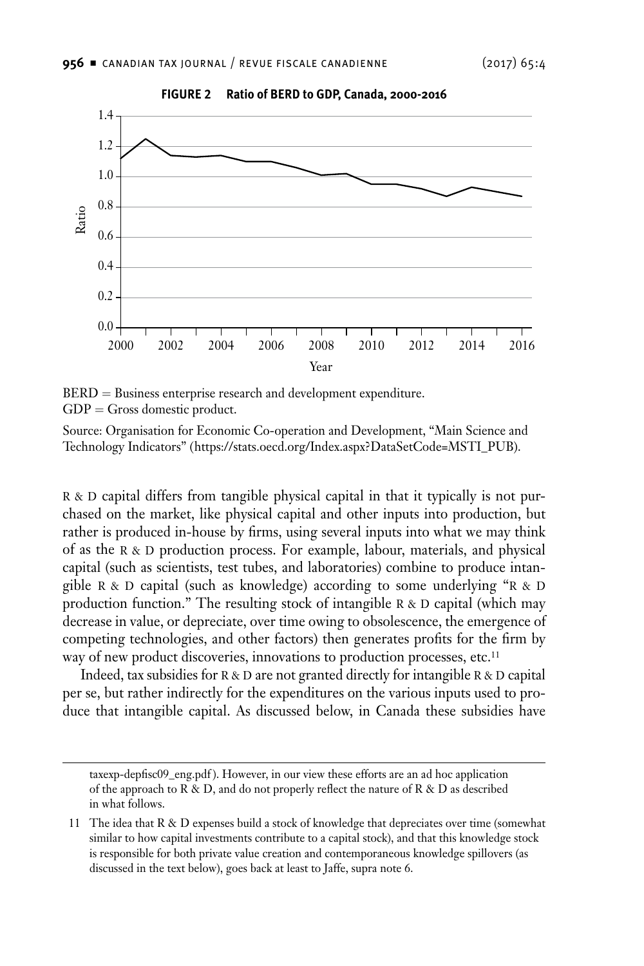

**FIGURE 2 Ratio of BERD to GDP, Canada, 2000-2016**

BERD = Business enterprise research and development expenditure.  $GDP = Gross$  domestic product.

Source: Organisation for Economic Co-operation and Development, "Main Science and Technology Indicators" (https://stats.oecd.org/Index.aspx?DataSetCode=MSTI\_PUB).

 $R \& D$  capital differs from tangible physical capital in that it typically is not purchased on the market, like physical capital and other inputs into production, but rather is produced in-house by firms, using several inputs into what we may think of as the R & D production process. For example, labour, materials, and physical capital (such as scientists, test tubes, and laboratories) combine to produce intangible R & D capital (such as knowledge) according to some underlying "R & D production function." The resulting stock of intangible  $R \& D$  capital (which may decrease in value, or depreciate, over time owing to obsolescence, the emergence of competing technologies, and other factors) then generates profits for the firm by way of new product discoveries, innovations to production processes, etc.<sup>11</sup>

Indeed, tax subsidies for  $R & D$  are not granted directly for intangible  $R & D$  capital per se, but rather indirectly for the expenditures on the various inputs used to produce that intangible capital. As discussed below, in Canada these subsidies have

taxexp-depfisc09\_eng.pdf ). However, in our view these efforts are an ad hoc application of the approach to R & D, and do not properly reflect the nature of R & D as described in what follows.

<sup>11</sup> The idea that R & D expenses build a stock of knowledge that depreciates over time (somewhat similar to how capital investments contribute to a capital stock), and that this knowledge stock is responsible for both private value creation and contemporaneous knowledge spillovers (as discussed in the text below), goes back at least to Jaffe, supra note 6.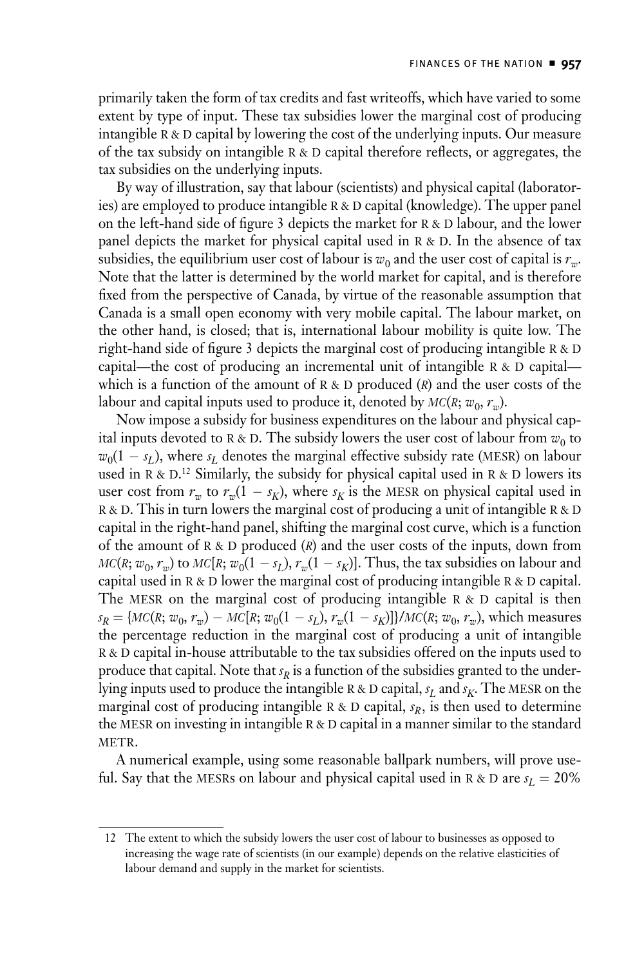primarily taken the form of tax credits and fast writeoffs, which have varied to some extent by type of input. These tax subsidies lower the marginal cost of producing intangible  $R \& D$  capital by lowering the cost of the underlying inputs. Our measure of the tax subsidy on intangible  $R \& D$  capital therefore reflects, or aggregates, the tax subsidies on the underlying inputs.

By way of illustration, say that labour (scientists) and physical capital (laboratories) are employed to produce intangible R & D capital (knowledge). The upper panel on the left-hand side of figure 3 depicts the market for  $R \& D$  labour, and the lower panel depicts the market for physical capital used in  $R \& D$ . In the absence of tax subsidies, the equilibrium user cost of labour is  $w_0$  and the user cost of capital is  $r_w$ . Note that the latter is determined by the world market for capital, and is therefore fixed from the perspective of Canada, by virtue of the reasonable assumption that Canada is a small open economy with very mobile capital. The labour market, on the other hand, is closed; that is, international labour mobility is quite low. The right-hand side of figure 3 depicts the marginal cost of producing intangible  $R & D$ capital—the cost of producing an incremental unit of intangible  $R & D$  capital which is a function of the amount of  $R \& D$  produced  $(R)$  and the user costs of the labour and capital inputs used to produce it, denoted by  $MC(R; w_0, r_m)$ .

Now impose a subsidy for business expenditures on the labour and physical capital inputs devoted to R & D. The subsidy lowers the user cost of labour from  $w_0$  to  $w_0(1 - s_L)$ , where  $s_L$  denotes the marginal effective subsidy rate (MESR) on labour used in R & D.<sup>12</sup> Similarly, the subsidy for physical capital used in R & D lowers its user cost from  $r_w$  to  $r_w(1 - s_K)$ , where  $s_K$  is the MESR on physical capital used in R & D. This in turn lowers the marginal cost of producing a unit of intangible R & D capital in the right-hand panel, shifting the marginal cost curve, which is a function of the amount of  $R \& D$  produced  $(R)$  and the user costs of the inputs, down from  $MC(R; w_0, r_w)$  to  $MC[R; w_0(1 - s_L), r_w(1 - s_K)]$ . Thus, the tax subsidies on labour and capital used in  $R < D$  lower the marginal cost of producing intangible  $R < D$  capital. The MESR on the marginal cost of producing intangible  $R & D$  capital is then  $s_R = \{MC(R; w_0, r_w) - MC[R; w_0(1 - s_L), r_w(1 - s_K)]\}/MC(R; w_0, r_w)$ , which measures the percentage reduction in the marginal cost of producing a unit of intangible R & D capital in-house attributable to the tax subsidies offered on the inputs used to produce that capital. Note that  $s_R$  is a function of the subsidies granted to the underlying inputs used to produce the intangible R & D capital,  $s_L$  and  $s_K$ . The MESR on the marginal cost of producing intangible R & D capital,  $s_R$ , is then used to determine the MESR on investing in intangible  $R & D$  capital in a manner similar to the standard METR.

A numerical example, using some reasonable ballpark numbers, will prove useful. Say that the MESRs on labour and physical capital used in R & D are  $s_L = 20\%$ 

<sup>12</sup> The extent to which the subsidy lowers the user cost of labour to businesses as opposed to increasing the wage rate of scientists (in our example) depends on the relative elasticities of labour demand and supply in the market for scientists.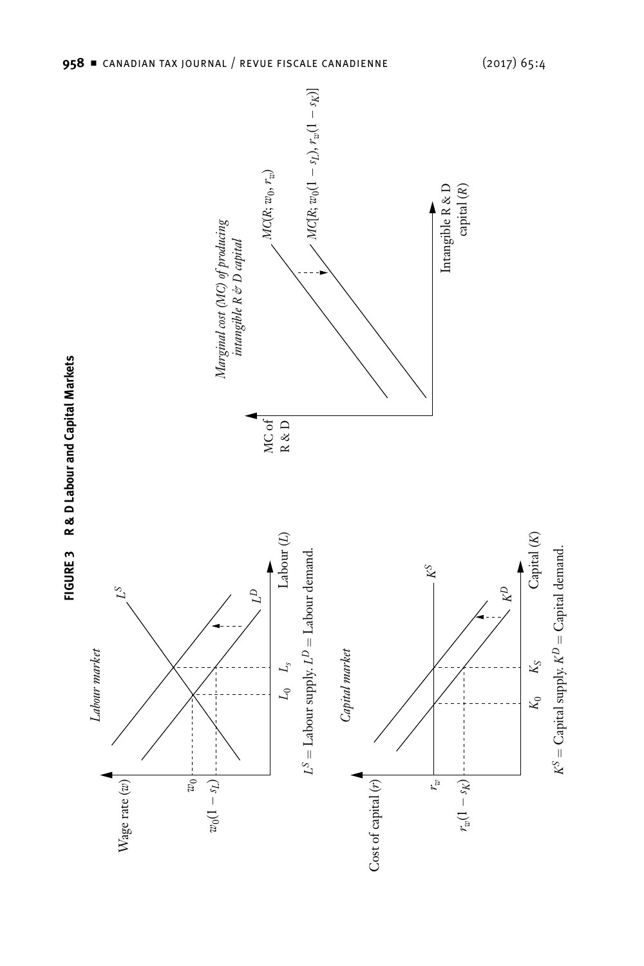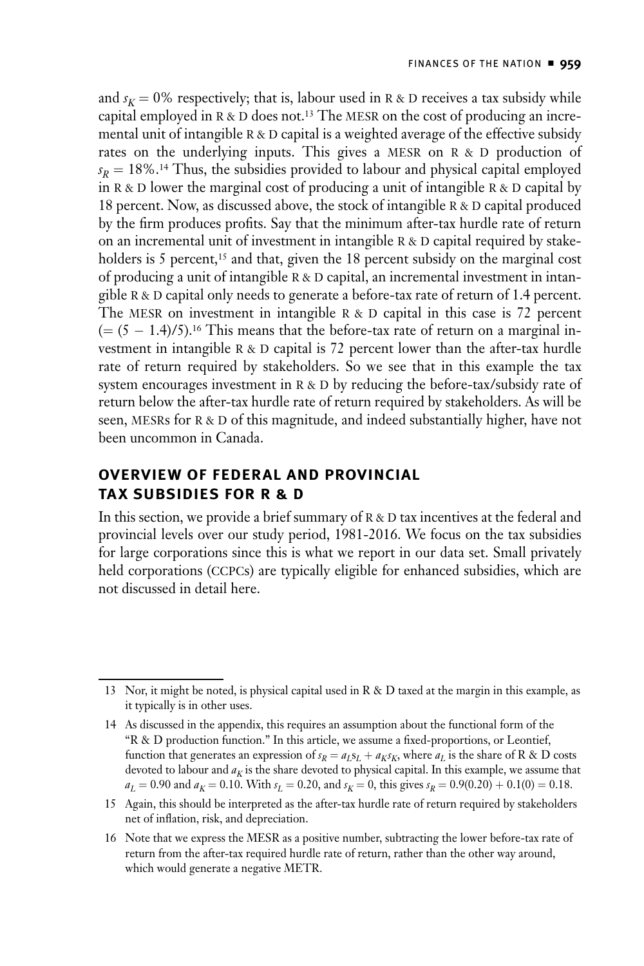<span id="page-8-0"></span>and  $s_K = 0\%$  respectively; that is, labour used in R & D receives a tax subsidy while capital employed in  $R \& D$  does not.<sup>13</sup> The MESR on the cost of producing an incremental unit of intangible R & D capital is a weighted average of the effective subsidy rates on the underlying inputs. This gives a MESR on R & D production of  $s_R = 18\%$ .<sup>14</sup> Thus, the subsidies provided to labour and physical capital employed in  $R$  & D lower the marginal cost of producing a unit of intangible  $R$  & D capital by 18 percent. Now, as discussed above, the stock of intangible  $R$  & D capital produced by the firm produces profits. Say that the minimum after-tax hurdle rate of return on an incremental unit of investment in intangible  $R & D$  capital required by stakeholders is 5 percent,<sup>15</sup> and that, given the 18 percent subsidy on the marginal cost of producing a unit of intangible  $R$  & D capital, an incremental investment in intangible  $R & D$  capital only needs to generate a before-tax rate of return of 1.4 percent. The MESR on investment in intangible  $R & D$  capital in this case is 72 percent  $(=(5 - 1.4)/5)$ .<sup>16</sup> This means that the before-tax rate of return on a marginal investment in intangible  $R & D$  capital is 72 percent lower than the after-tax hurdle rate of return required by stakeholders. So we see that in this example the tax system encourages investment in  $R \& D$  by reducing the before-tax/subsidy rate of return below the after-tax hurdle rate of return required by stakeholders. As will be seen, MESRs for R & D of this magnitude, and indeed substantially higher, have not been uncommon in Canada.

## **Overview of Federal and Provincial Tax Subsidies for R & D**

In this section, we provide a brief summary of  $R & D$  tax incentives at the federal and provincial levels over our study period, 1981-2016. We focus on the tax subsidies for large corporations since this is what we report in our data set. Small privately held corporations (CCPCs) are typically eligible for enhanced subsidies, which are not discussed in detail here.

<sup>13</sup> Nor, it might be noted, is physical capital used in R & D taxed at the margin in this example, as it typically is in other uses.

<sup>14</sup> As discussed in the appendix, this requires an assumption about the functional form of the "R & D production function." In this article, we assume a fixed-proportions, or Leontief, function that generates an expression of  $s_R = a_L s_L + a_K s_K$ , where  $a_L$  is the share of R & D costs devoted to labour and  $a<sub>K</sub>$  is the share devoted to physical capital. In this example, we assume that  $a_L = 0.90$  and  $a_K = 0.10$ . With  $s_L = 0.20$ , and  $s_K = 0$ , this gives  $s_R = 0.9(0.20) + 0.1(0) = 0.18$ .

<sup>15</sup> Again, this should be interpreted as the after-tax hurdle rate of return required by stakeholders net of inflation, risk, and depreciation.

<sup>16</sup> Note that we express the MESR as a positive number, subtracting the lower before-tax rate of return from the after-tax required hurdle rate of return, rather than the other way around, which would generate a negative METR.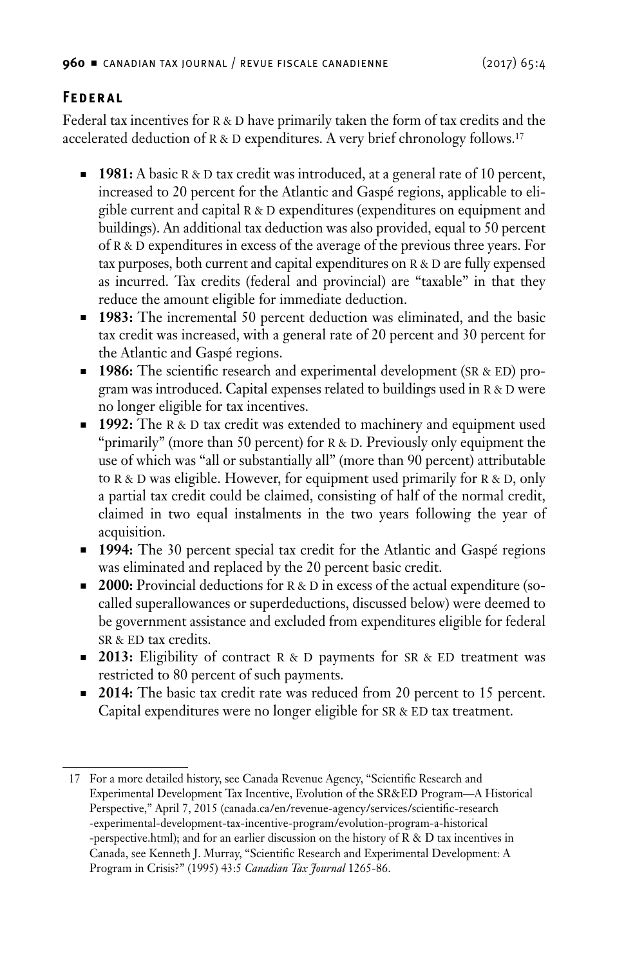## <span id="page-9-0"></span>**Federal**

Federal tax incentives for  $R \& D$  have primarily taken the form of tax credits and the accelerated deduction of  $R \& D$  expenditures. A very brief chronology follows.<sup>17</sup>

- **1981:** A basic R & D tax credit was introduced, at a general rate of 10 percent, increased to 20 percent for the Atlantic and Gaspé regions, applicable to eligible current and capital R & D expenditures (expenditures on equipment and buildings). An additional tax deduction was also provided, equal to 50 percent of  $R \& D$  expenditures in excess of the average of the previous three years. For tax purposes, both current and capital expenditures on  $R & D$  are fully expensed as incurred. Tax credits (federal and provincial) are "taxable" in that they reduce the amount eligible for immediate deduction.
- **1983:** The incremental 50 percent deduction was eliminated, and the basic tax credit was increased, with a general rate of 20 percent and 30 percent for the Atlantic and Gaspé regions.
- **1986:** The scientific research and experimental development (SR & ED) program was introduced. Capital expenses related to buildings used in R & D were no longer eligible for tax incentives.
- **1992:** The R & D tax credit was extended to machinery and equipment used "primarily" (more than 50 percent) for  $R &D$ . Previously only equipment the use of which was "all or substantially all" (more than 90 percent) attributable to  $R & D$  was eligible. However, for equipment used primarily for  $R & D$ , only a partial tax credit could be claimed, consisting of half of the normal credit, claimed in two equal instalments in the two years following the year of acquisition.
- **1994:** The 30 percent special tax credit for the Atlantic and Gaspé regions was eliminated and replaced by the 20 percent basic credit.
- **2000:** Provincial deductions for R & D in excess of the actual expenditure (socalled superallowances or superdeductions, discussed below) were deemed to be government assistance and excluded from expenditures eligible for federal SR & ED tax credits.
- **2013:** Eligibility of contract R & D payments for SR & ED treatment was restricted to 80 percent of such payments.
- **2014:** The basic tax credit rate was reduced from 20 percent to 15 percent. Capital expenditures were no longer eligible for  $SR & ED$  tax treatment.

<sup>17</sup> For a more detailed history, see Canada Revenue Agency, "Scientific Research and Experimental Development Tax Incentive, Evolution of the SR&ED Program—A Historical Perspective," April 7, 2015 (canada.ca/en/revenue-agency/services/scientific-research -experimental-development-tax-incentive-program/evolution-program-a-historical -perspective.html); and for an earlier discussion on the history of R & D tax incentives in Canada, see Kenneth J. Murray, "Scientific Research and Experimental Development: A Program in Crisis?" (1995) 43:5 *Canadian Tax Journal* 1265-86.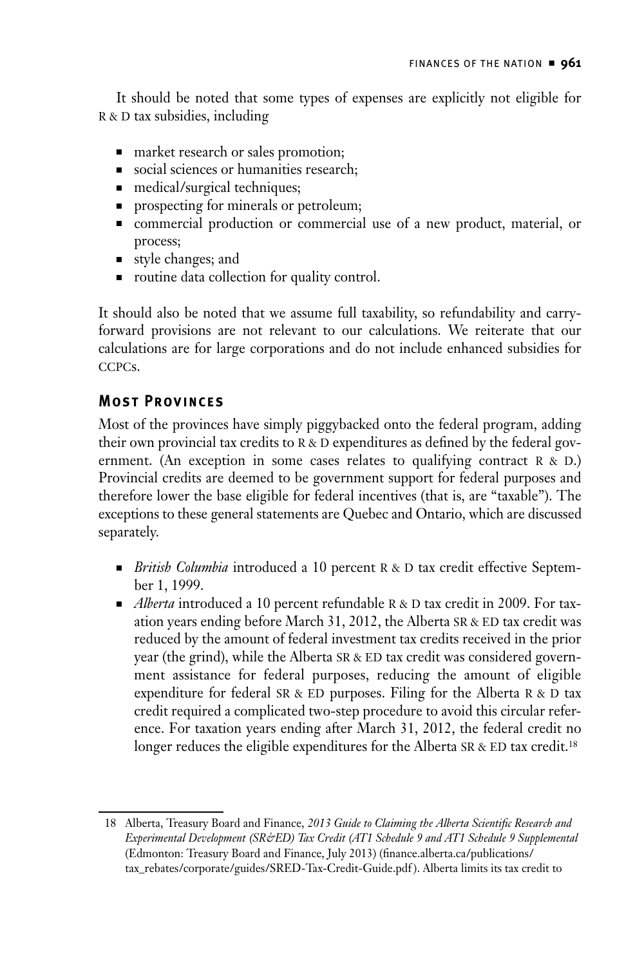<span id="page-10-0"></span>It should be noted that some types of expenses are explicitly not eligible for R & D tax subsidies, including

- market research or sales promotion;
- social sciences or humanities research;
- medical/surgical techniques;
- n prospecting for minerals or petroleum;
- <sup>n</sup> commercial production or commercial use of a new product, material, or process;
- style changes; and
- routine data collection for quality control.

It should also be noted that we assume full taxability, so refundability and carryforward provisions are not relevant to our calculations. We reiterate that our calculations are for large corporations and do not include enhanced subsidies for ccpcs.

## **Most Provinces**

Most of the provinces have simply piggybacked onto the federal program, adding their own provincial tax credits to  $R & D$  expenditures as defined by the federal government. (An exception in some cases relates to qualifying contract  $R & D$ .) Provincial credits are deemed to be government support for federal purposes and therefore lower the base eligible for federal incentives (that is, are "taxable"). The exceptions to these general statements are Quebec and Ontario, which are discussed separately.

- **n** *British Columbia* introduced a 10 percent R & D tax credit effective September 1, 1999.
- *Alberta* introduced a 10 percent refundable R & D tax credit in 2009. For taxation years ending before March 31, 2012, the Alberta SR & ED tax credit was reduced by the amount of federal investment tax credits received in the prior year (the grind), while the Alberta SR & ED tax credit was considered government assistance for federal purposes, reducing the amount of eligible expenditure for federal SR & ED purposes. Filing for the Alberta R & D tax credit required a complicated two-step procedure to avoid this circular reference. For taxation years ending after March 31, 2012, the federal credit no longer reduces the eligible expenditures for the Alberta SR & ED tax credit.<sup>18</sup>

<sup>18</sup> Alberta, Treasury Board and Finance, *2013 Guide to Claiming the Alberta Scientific Research and Experimental Development (SR&ED) Tax Credit (AT1 Schedule 9 and AT1 Schedule 9 Supplemental* (Edmonton: Treasury Board and Finance, July 2013) (finance.alberta.ca/publications/ tax\_rebates/corporate/guides/SRED-Tax-Credit-Guide.pdf ). Alberta limits its tax credit to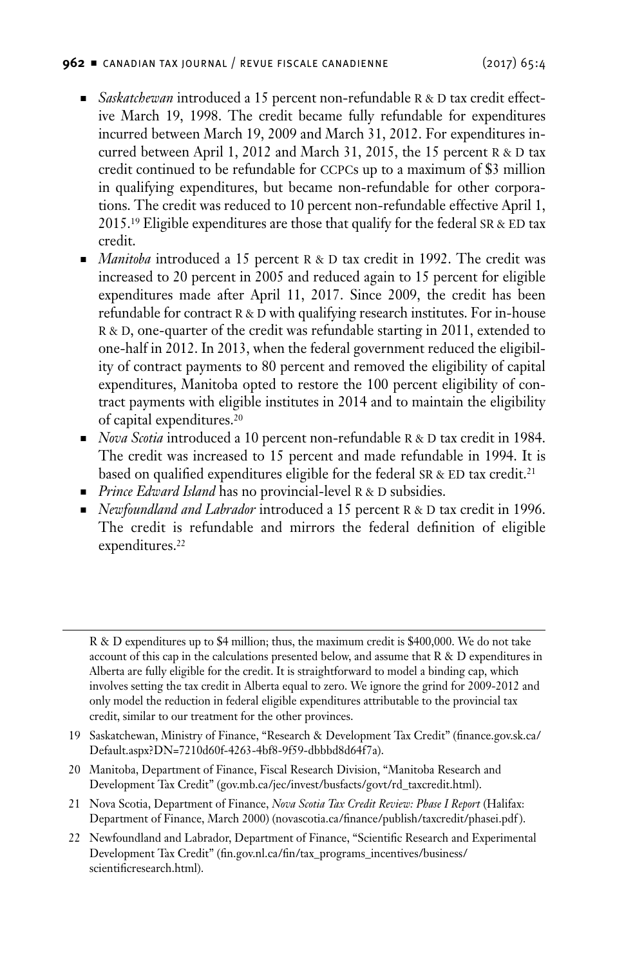#### **962** <sup>n</sup> canadian tax journal / revue fiscale canadienne (2017) 65:4

- *Saskatchewan* introduced a 15 percent non-refundable R & D tax credit effective March 19, 1998. The credit became fully refundable for expenditures incurred between March 19, 2009 and March 31, 2012. For expenditures incurred between April 1, 2012 and March 31, 2015, the 15 percent  $R < D$  tax credit continued to be refundable for ccpcs up to a maximum of \$3 million in qualifying expenditures, but became non-refundable for other corporations. The credit was reduced to 10 percent non-refundable effective April 1, 2015.<sup>19</sup> Eligible expenditures are those that qualify for the federal SR & ED tax credit.
- *Manitoba* introduced a 15 percent R & D tax credit in 1992. The credit was increased to 20 percent in 2005 and reduced again to 15 percent for eligible expenditures made after April 11, 2017. Since 2009, the credit has been refundable for contract  $R$  &  $D$  with qualifying research institutes. For in-house R & D, one-quarter of the credit was refundable starting in 2011, extended to one-half in 2012. In 2013, when the federal government reduced the eligibility of contract payments to 80 percent and removed the eligibility of capital expenditures, Manitoba opted to restore the 100 percent eligibility of contract payments with eligible institutes in 2014 and to maintain the eligibility of capital expenditures.20
- n *Nova Scotia* introduced a 10 percent non-refundable R & D tax credit in 1984. The credit was increased to 15 percent and made refundable in 1994. It is based on qualified expenditures eligible for the federal SR & ED tax credit.<sup>21</sup>
- **Prince Edward Island has no provincial-level R & D subsidies.**
- **Newfoundland and Labrador introduced a 15 percent R & D tax credit in 1996.** The credit is refundable and mirrors the federal definition of eligible expenditures.<sup>22</sup>

- 19 Saskatchewan, Ministry of Finance, "Research & Development Tax Credit" (finance.gov.sk.ca/ Default.aspx?DN=7210d60f-4263-4bf8-9f59-dbbbd8d64f7a).
- 20 Manitoba, Department of Finance, Fiscal Research Division, "Manitoba Research and Development Tax Credit" (gov.mb.ca/jec/invest/busfacts/govt/rd\_taxcredit.html).
- 21 Nova Scotia, Department of Finance, *Nova Scotia Tax Credit Review: Phase I Report* (Halifax: Department of Finance, March 2000) (novascotia.ca/finance/publish/taxcredit/phasei.pdf ).
- 22 Newfoundland and Labrador, Department of Finance, "Scientific Research and Experimental Development Tax Credit" (fin.gov.nl.ca/fin/tax\_programs\_incentives/business/ scientificresearch.html).

R & D expenditures up to \$4 million; thus, the maximum credit is \$400,000. We do not take account of this cap in the calculations presented below, and assume that R & D expenditures in Alberta are fully eligible for the credit. It is straightforward to model a binding cap, which involves setting the tax credit in Alberta equal to zero. We ignore the grind for 2009-2012 and only model the reduction in federal eligible expenditures attributable to the provincial tax credit, similar to our treatment for the other provinces.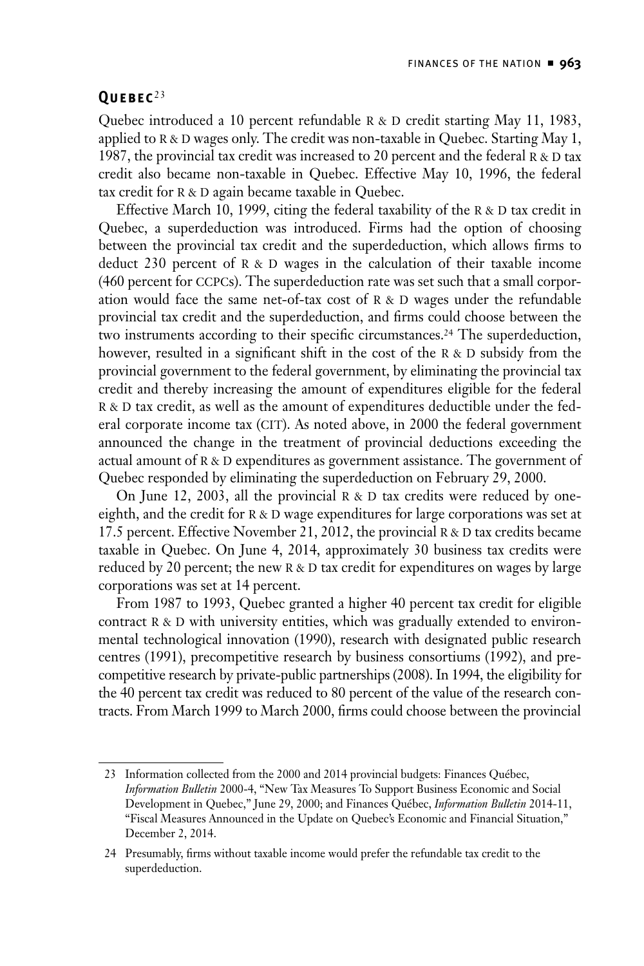#### <span id="page-12-0"></span>**Quebec** <sup>23</sup>

Quebec introduced a 10 percent refundable  $R & D$  credit starting May 11, 1983, applied to  $R$  & D wages only. The credit was non-taxable in Quebec. Starting May 1, 1987, the provincial tax credit was increased to 20 percent and the federal  $R & D$  tax credit also became non-taxable in Quebec. Effective May 10, 1996, the federal tax credit for  $R \& D$  again became taxable in Quebec.

Effective March 10, 1999, citing the federal taxability of the R & D tax credit in Quebec, a superdeduction was introduced. Firms had the option of choosing between the provincial tax credit and the superdeduction, which allows firms to deduct 230 percent of  $R \& D$  wages in the calculation of their taxable income (460 percent for ccpcs). The superdeduction rate was set such that a small corporation would face the same net-of-tax cost of  $R & D$  wages under the refundable provincial tax credit and the superdeduction, and firms could choose between the two instruments according to their specific circumstances.<sup>24</sup> The superdeduction, however, resulted in a significant shift in the cost of the  $R & D$  subsidy from the provincial government to the federal government, by eliminating the provincial tax credit and thereby increasing the amount of expenditures eligible for the federal R & D tax credit, as well as the amount of expenditures deductible under the federal corporate income tax (CIT). As noted above, in 2000 the federal government announced the change in the treatment of provincial deductions exceeding the actual amount of  $R \& D$  expenditures as government assistance. The government of Quebec responded by eliminating the superdeduction on February 29, 2000.

On June 12, 2003, all the provincial  $R & D$  tax credits were reduced by oneeighth, and the credit for  $R \& D$  wage expenditures for large corporations was set at 17.5 percent. Effective November 21, 2012, the provincial  $R & D$  tax credits became taxable in Quebec. On June 4, 2014, approximately 30 business tax credits were reduced by 20 percent; the new  $R & D$  tax credit for expenditures on wages by large corporations was set at 14 percent.

From 1987 to 1993, Quebec granted a higher 40 percent tax credit for eligible contract  $R$  &  $D$  with university entities, which was gradually extended to environmental technological innovation (1990), research with designated public research centres (1991), precompetitive research by business consortiums (1992), and precompetitive research by private-public partnerships (2008). In 1994, the eligibility for the 40 percent tax credit was reduced to 80 percent of the value of the research contracts. From March 1999 to March 2000, firms could choose between the provincial

<sup>23</sup> Information collected from the 2000 and 2014 provincial budgets: Finances Québec, *Information Bulletin* 2000-4, "New Tax Measures To Support Business Economic and Social Development in Quebec," June 29, 2000; and Finances Québec, *Information Bulletin* 2014-11, "Fiscal Measures Announced in the Update on Quebec's Economic and Financial Situation," December 2, 2014.

<sup>24</sup> Presumably, firms without taxable income would prefer the refundable tax credit to the superdeduction.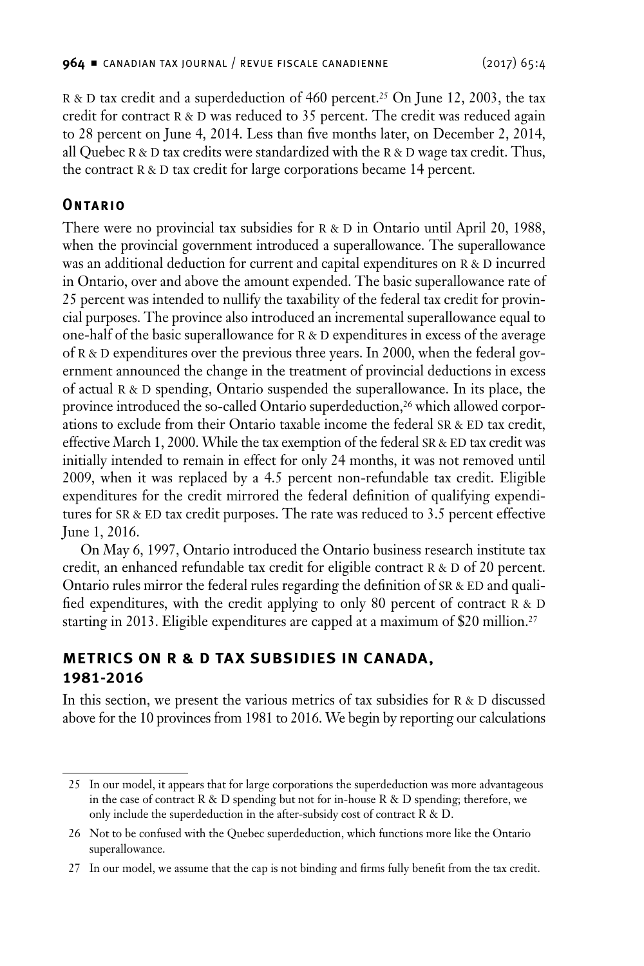<span id="page-13-0"></span>R & D tax credit and a superdeduction of 460 percent.<sup>25</sup> On June 12, 2003, the tax credit for contract R & D was reduced to 35 percent. The credit was reduced again to 28 percent on June 4, 2014. Less than five months later, on December 2, 2014, all Quebec R & D tax credits were standardized with the R & D wage tax credit. Thus, the contract  $R & D$  tax credit for large corporations became 14 percent.

## **Ontario**

There were no provincial tax subsidies for  $R & D$  in Ontario until April 20, 1988, when the provincial government introduced a superallowance. The superallowance was an additional deduction for current and capital expenditures on  $R & D$  incurred in Ontario, over and above the amount expended. The basic superallowance rate of 25 percent was intended to nullify the taxability of the federal tax credit for provincial purposes. The province also introduced an incremental superallowance equal to one-half of the basic superallowance for  $R & D$  expenditures in excess of the average of R & D expenditures over the previous three years. In 2000, when the federal government announced the change in the treatment of provincial deductions in excess of actual R & D spending, Ontario suspended the superallowance. In its place, the province introduced the so-called Ontario superdeduction,<sup>26</sup> which allowed corporations to exclude from their Ontario taxable income the federal SR & ED tax credit, effective March 1, 2000. While the tax exemption of the federal SR & ED tax credit was initially intended to remain in effect for only 24 months, it was not removed until 2009, when it was replaced by a 4.5 percent non-refundable tax credit. Eligible expenditures for the credit mirrored the federal definition of qualifying expenditures for SR & ED tax credit purposes. The rate was reduced to 3.5 percent effective June 1, 2016.

On May 6, 1997, Ontario introduced the Ontario business research institute tax credit, an enhanced refundable tax credit for eligible contract  $R & D$  of 20 percent. Ontario rules mirror the federal rules regarding the definition of SR & ED and qualified expenditures, with the credit applying to only 80 percent of contract  $R & D$ starting in 2013. Eligible expenditures are capped at a maximum of \$20 million.27

## **Metrics on R & D Tax Subsidies in Canada, 1981-2016**

In this section, we present the various metrics of tax subsidies for  $R \& D$  discussed above for the 10 provinces from 1981 to 2016. We begin by reporting our calculations

<sup>25</sup> In our model, it appears that for large corporations the superdeduction was more advantageous in the case of contract R & D spending but not for in-house R & D spending; therefore, we only include the superdeduction in the after-subsidy cost of contract R & D.

<sup>26</sup> Not to be confused with the Quebec superdeduction, which functions more like the Ontario superallowance.

<sup>27</sup> In our model, we assume that the cap is not binding and firms fully benefit from the tax credit.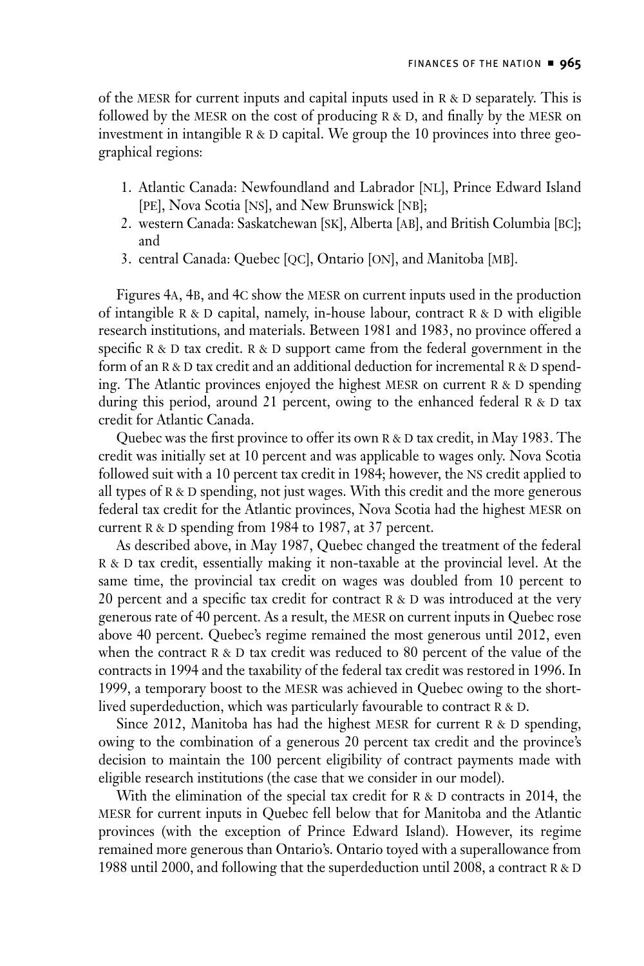of the MESR for current inputs and capital inputs used in  $R \& D$  separately. This is followed by the MESR on the cost of producing  $R & D$ , and finally by the MESR on investment in intangible  $R & D$  capital. We group the 10 provinces into three geographical regions:

- 1. Atlantic Canada: Newfoundland and Labrador [NL], Prince Edward Island [pe], Nova Scotia [ns], and New Brunswick [nb];
- 2. western Canada: Saskatchewan [sk], Alberta [ab], and British Columbia [bc]; and
- 3. central Canada: Quebec [qc], Ontario [on], and Manitoba [mb].

Figures 4A, 4B, and 4C show the MESR on current inputs used in the production of intangible  $R \& D$  capital, namely, in-house labour, contract  $R \& D$  with eligible research institutions, and materials. Between 1981 and 1983, no province offered a specific  $R & D$  tax credit.  $R & D$  support came from the federal government in the form of an R & D tax credit and an additional deduction for incremental R & D spending. The Atlantic provinces enjoyed the highest MESR on current  $R > D$  spending during this period, around 21 percent, owing to the enhanced federal  $R \& D \text{ tax}$ credit for Atlantic Canada.

Quebec was the first province to offer its own R & D tax credit, in May 1983. The credit was initially set at 10 percent and was applicable to wages only. Nova Scotia followed suit with a 10 percent tax credit in 1984; however, the ns credit applied to all types of  $R \& D$  spending, not just wages. With this credit and the more generous federal tax credit for the Atlantic provinces, Nova Scotia had the highest mesr on current R & D spending from 1984 to 1987, at 37 percent.

As described above, in May 1987, Quebec changed the treatment of the federal R & D tax credit, essentially making it non-taxable at the provincial level. At the same time, the provincial tax credit on wages was doubled from 10 percent to 20 percent and a specific tax credit for contract  $R & D$  was introduced at the very generous rate of 40 percent. As a result, the mesr on current inputs in Quebec rose above 40 percent. Quebec's regime remained the most generous until 2012, even when the contract  $R & D$  tax credit was reduced to 80 percent of the value of the contracts in 1994 and the taxability of the federal tax credit was restored in 1996. In 1999, a temporary boost to the MESR was achieved in Quebec owing to the shortlived superdeduction, which was particularly favourable to contract  $R & D$ .

Since 2012, Manitoba has had the highest MESR for current  $R > D$  spending, owing to the combination of a generous 20 percent tax credit and the province's decision to maintain the 100 percent eligibility of contract payments made with eligible research institutions (the case that we consider in our model).

With the elimination of the special tax credit for  $R > D$  contracts in 2014, the mesr for current inputs in Quebec fell below that for Manitoba and the Atlantic provinces (with the exception of Prince Edward Island). However, its regime remained more generous than Ontario's. Ontario toyed with a superallowance from 1988 until 2000, and following that the superdeduction until 2008, a contract  $R & D$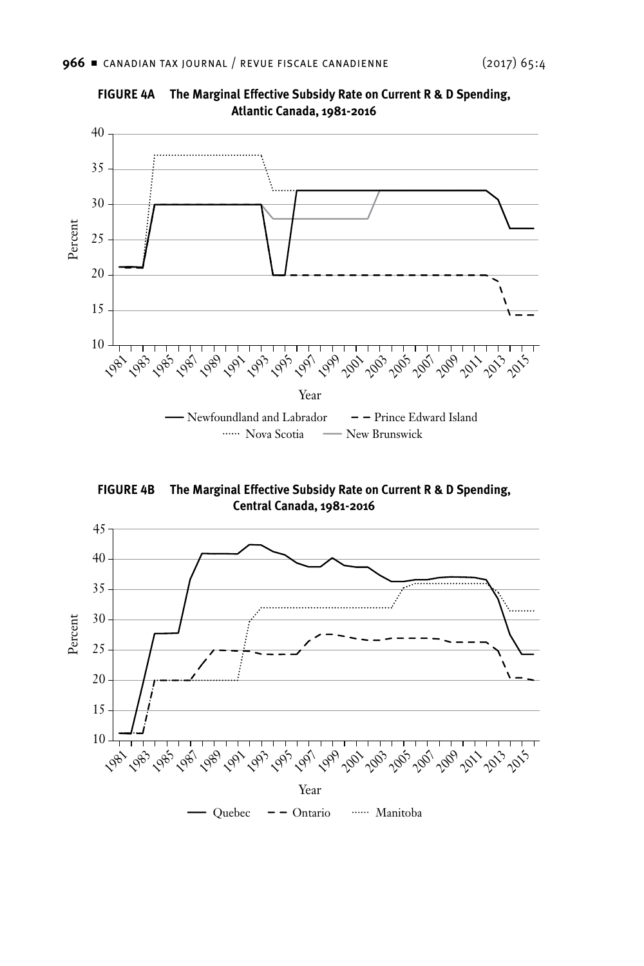

**FIGURE 4A The Marginal Effective Subsidy Rate on Current R & D Spending, Atlantic Canada, 1981-2016**

**FIGURE 4B The Marginal Effective Subsidy Rate on Current R & D Spending, Central Canada, 1981-2016**

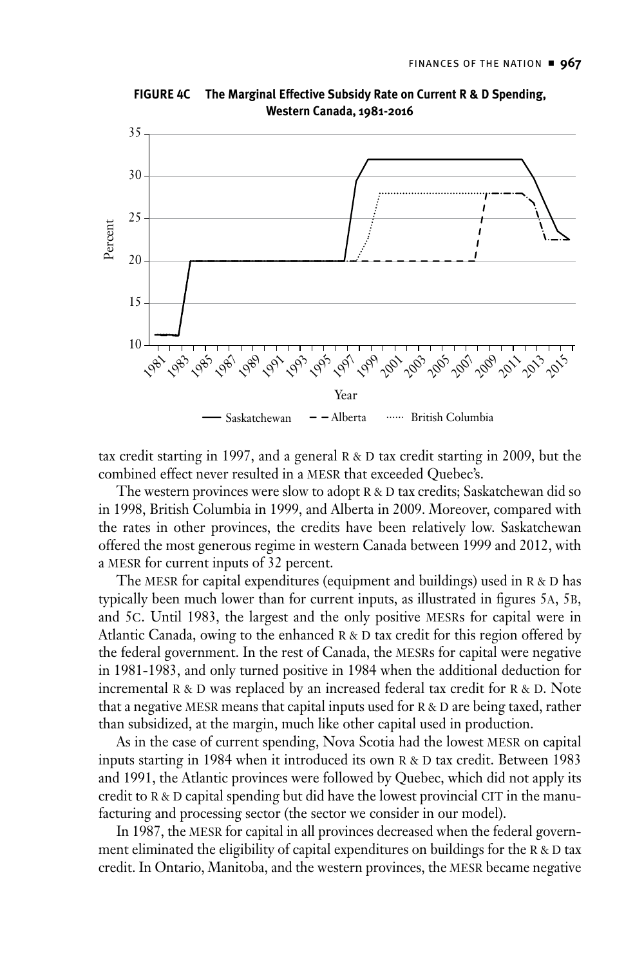

**FIGURE 4C The Marginal Effective Subsidy Rate on Current R & D Spending, Western Canada, 1981-2016**

tax credit starting in 1997, and a general  $R & D$  tax credit starting in 2009, but the combined effect never resulted in a mesr that exceeded Quebec's.

The western provinces were slow to adopt  $R & D$  tax credits; Saskatchewan did so in 1998, British Columbia in 1999, and Alberta in 2009. Moreover, compared with the rates in other provinces, the credits have been relatively low. Saskatchewan offered the most generous regime in western Canada between 1999 and 2012, with a MESR for current inputs of 32 percent.

The MESR for capital expenditures (equipment and buildings) used in  $R < D$  has typically been much lower than for current inputs, as illustrated in figures 5a, 5b, and 5c. Until 1983, the largest and the only positive mesrs for capital were in Atlantic Canada, owing to the enhanced  $R \& D$  tax credit for this region offered by the federal government. In the rest of Canada, the mesrs for capital were negative in 1981-1983, and only turned positive in 1984 when the additional deduction for incremental  $R & D$  was replaced by an increased federal tax credit for  $R & D$ . Note that a negative MESR means that capital inputs used for  $R & D$  are being taxed, rather than subsidized, at the margin, much like other capital used in production.

As in the case of current spending, Nova Scotia had the lowest MESR on capital inputs starting in 1984 when it introduced its own  $R & D$  tax credit. Between 1983 and 1991, the Atlantic provinces were followed by Quebec, which did not apply its credit to  $R \& D$  capital spending but did have the lowest provincial CIT in the manufacturing and processing sector (the sector we consider in our model).

In 1987, the MESR for capital in all provinces decreased when the federal government eliminated the eligibility of capital expenditures on buildings for the  $R & D$  tax credit. In Ontario, Manitoba, and the western provinces, the mesr became negative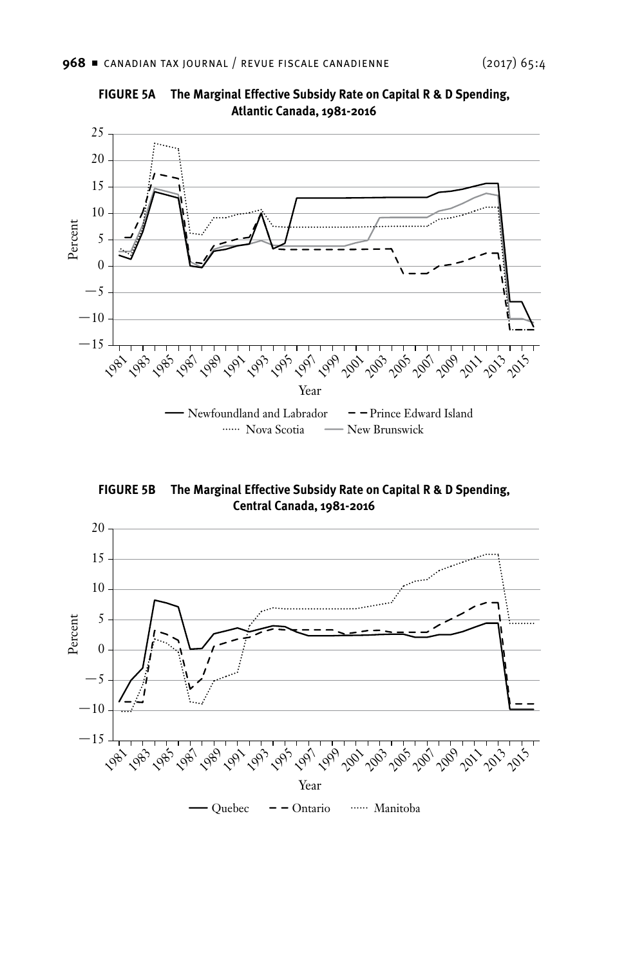

**FIGURE 5A The Marginal Effective Subsidy Rate on Capital R & D Spending, Atlantic Canada, 1981-2016**

**FIGURE 5B The Marginal Effective Subsidy Rate on Capital R & D Spending, Central Canada, 1981-2016**

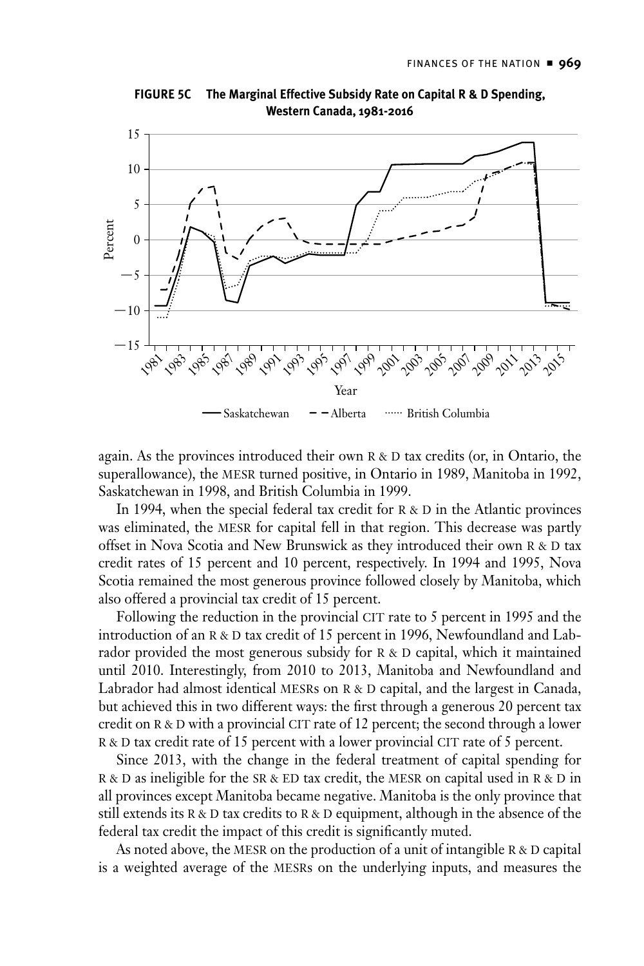

**FIGURE 5C The Marginal Effective Subsidy Rate on Capital R & D Spending, Western Canada, 1981-2016**

again. As the provinces introduced their own  $R & D$  tax credits (or, in Ontario, the superallowance), the MESR turned positive, in Ontario in 1989, Manitoba in 1992, Saskatchewan in 1998, and British Columbia in 1999.

In 1994, when the special federal tax credit for  $R & D$  in the Atlantic provinces was eliminated, the MESR for capital fell in that region. This decrease was partly offset in Nova Scotia and New Brunswick as they introduced their own R & D tax credit rates of 15 percent and 10 percent, respectively. In 1994 and 1995, Nova Scotia remained the most generous province followed closely by Manitoba, which also offered a provincial tax credit of 15 percent.

Following the reduction in the provincial CIT rate to 5 percent in 1995 and the introduction of an R & D tax credit of 15 percent in 1996, Newfoundland and Labrador provided the most generous subsidy for  $R & D$  capital, which it maintained until 2010. Interestingly, from 2010 to 2013, Manitoba and Newfoundland and Labrador had almost identical MESRs on R & D capital, and the largest in Canada, but achieved this in two different ways: the first through a generous 20 percent tax credit on R & D with a provincial CIT rate of 12 percent; the second through a lower R & D tax credit rate of 15 percent with a lower provincial CIT rate of 5 percent.

Since 2013, with the change in the federal treatment of capital spending for  $R$  & D as ineligible for the SR & ED tax credit, the MESR on capital used in R & D in all provinces except Manitoba became negative. Manitoba is the only province that still extends its  $R & D$  tax credits to  $R & D$  equipment, although in the absence of the federal tax credit the impact of this credit is significantly muted.

As noted above, the MESR on the production of a unit of intangible  $R & D$  capital is a weighted average of the MESRs on the underlying inputs, and measures the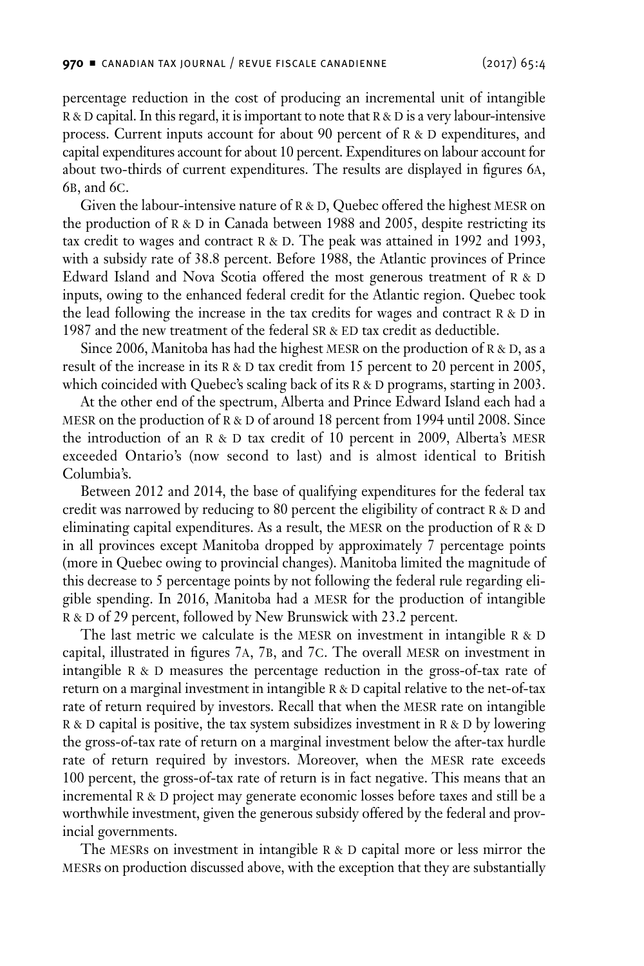percentage reduction in the cost of producing an incremental unit of intangible  $R & D$  capital. In this regard, it is important to note that  $R & D$  is a very labour-intensive process. Current inputs account for about 90 percent of  $R & D$  expenditures, and capital expenditures account for about 10 percent. Expenditures on labour account for about two-thirds of current expenditures. The results are displayed in figures 6a, 6b, and 6c.

Given the labour-intensive nature of  $R$  & D, Quebec offered the highest MESR on the production of  $R & D$  in Canada between 1988 and 2005, despite restricting its tax credit to wages and contract  $R & D$ . The peak was attained in 1992 and 1993, with a subsidy rate of 38.8 percent. Before 1988, the Atlantic provinces of Prince Edward Island and Nova Scotia offered the most generous treatment of  $R$  & D inputs, owing to the enhanced federal credit for the Atlantic region. Quebec took the lead following the increase in the tax credits for wages and contract  $R & D$  in 1987 and the new treatment of the federal SR & ED tax credit as deductible.

Since 2006, Manitoba has had the highest MESR on the production of  $R & D$ , as a result of the increase in its  $R & D$  tax credit from 15 percent to 20 percent in 2005, which coincided with Quebec's scaling back of its  $R > D$  programs, starting in 2003.

At the other end of the spectrum, Alberta and Prince Edward Island each had a MESR on the production of  $R & D$  of around 18 percent from 1994 until 2008. Since the introduction of an R & D tax credit of 10 percent in 2009, Alberta's MESR exceeded Ontario's (now second to last) and is almost identical to British Columbia's.

Between 2012 and 2014, the base of qualifying expenditures for the federal tax credit was narrowed by reducing to 80 percent the eligibility of contract  $R & D$  and eliminating capital expenditures. As a result, the MESR on the production of R  $\&$  D in all provinces except Manitoba dropped by approximately 7 percentage points (more in Quebec owing to provincial changes). Manitoba limited the magnitude of this decrease to 5 percentage points by not following the federal rule regarding eligible spending. In 2016, Manitoba had a mesr for the production of intangible R & D of 29 percent, followed by New Brunswick with 23.2 percent.

The last metric we calculate is the MESR on investment in intangible  $R \& D$ capital, illustrated in figures 7a, 7b, and 7c. The overall mesr on investment in intangible  $R \& D$  measures the percentage reduction in the gross-of-tax rate of return on a marginal investment in intangible  $R & D$  capital relative to the net-of-tax rate of return required by investors. Recall that when the MESR rate on intangible  $R$  & D capital is positive, the tax system subsidizes investment in  $R$  & D by lowering the gross-of-tax rate of return on a marginal investment below the after-tax hurdle rate of return required by investors. Moreover, when the MESR rate exceeds 100 percent, the gross-of-tax rate of return is in fact negative. This means that an incremental R & D project may generate economic losses before taxes and still be a worthwhile investment, given the generous subsidy offered by the federal and provincial governments.

The MESRs on investment in intangible  $R & D$  capital more or less mirror the mesrs on production discussed above, with the exception that they are substantially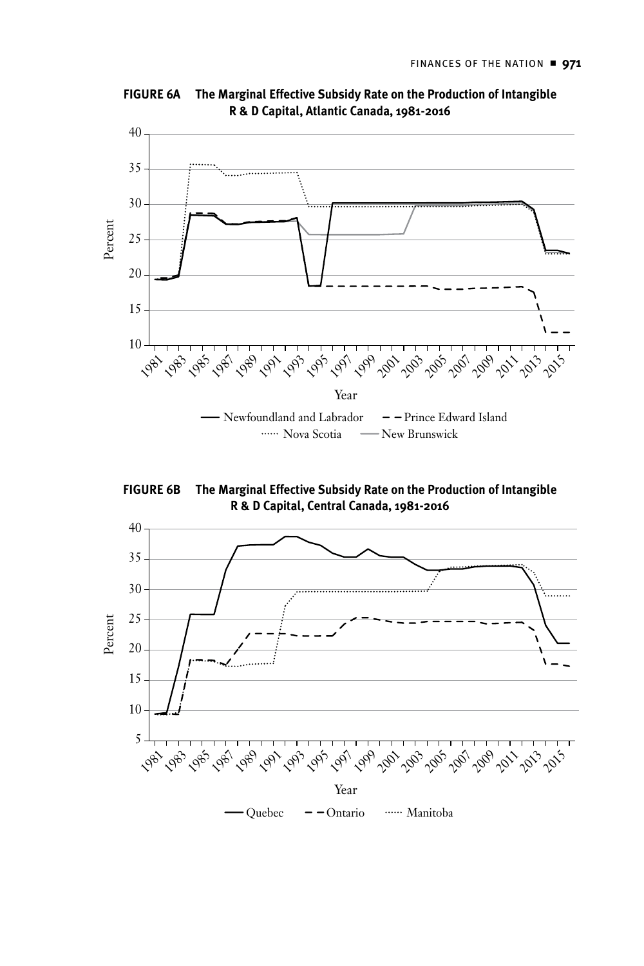

**FIGURE 6A The Marginal Effective Subsidy Rate on the Production of Intangible R & D Capital, Atlantic Canada, 1981-2016**

**FIGURE 6B The Marginal Effective Subsidy Rate on the Production of Intangible R & D Capital, Central Canada, 1981-2016**

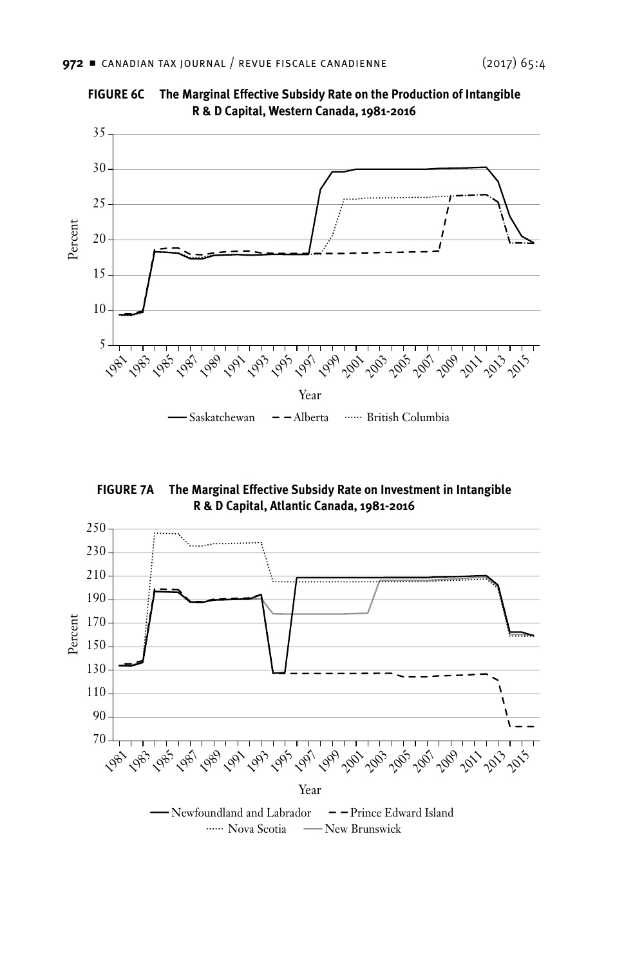

**FIGURE 6C The Marginal Effective Subsidy Rate on the Production of Intangible R & D Capital, Western Canada, 1981-2016**

**FIGURE 7A The Marginal Effective Subsidy Rate on Investment in Intangible R & D Capital, Atlantic Canada, 1981-2016**

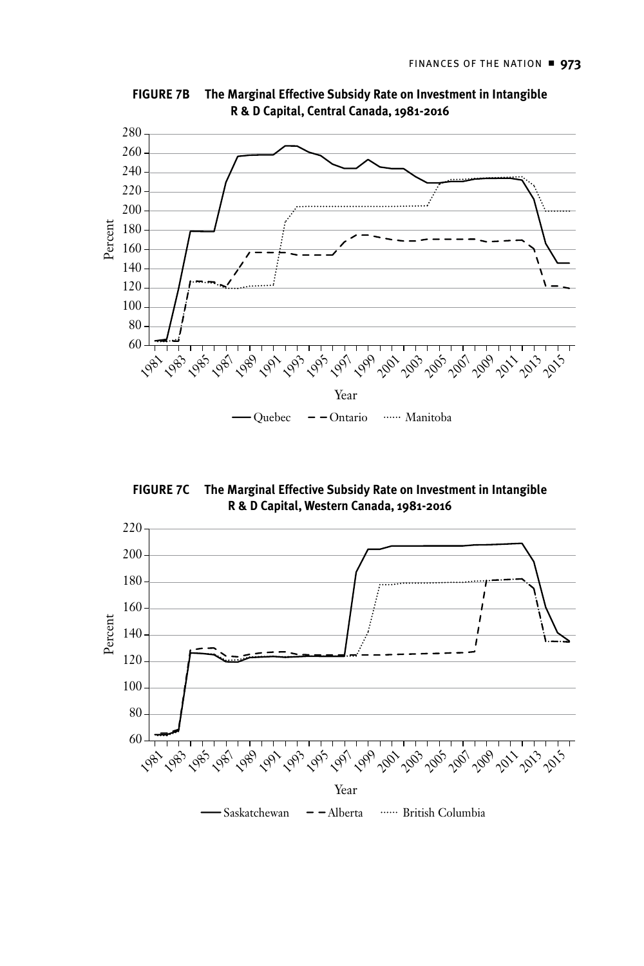

**FIGURE 7B The Marginal Effective Subsidy Rate on Investment in Intangible R & D Capital, Central Canada, 1981-2016**

**FIGURE 7C The Marginal Effective Subsidy Rate on Investment in Intangible R & D Capital, Western Canada, 1981-2016**

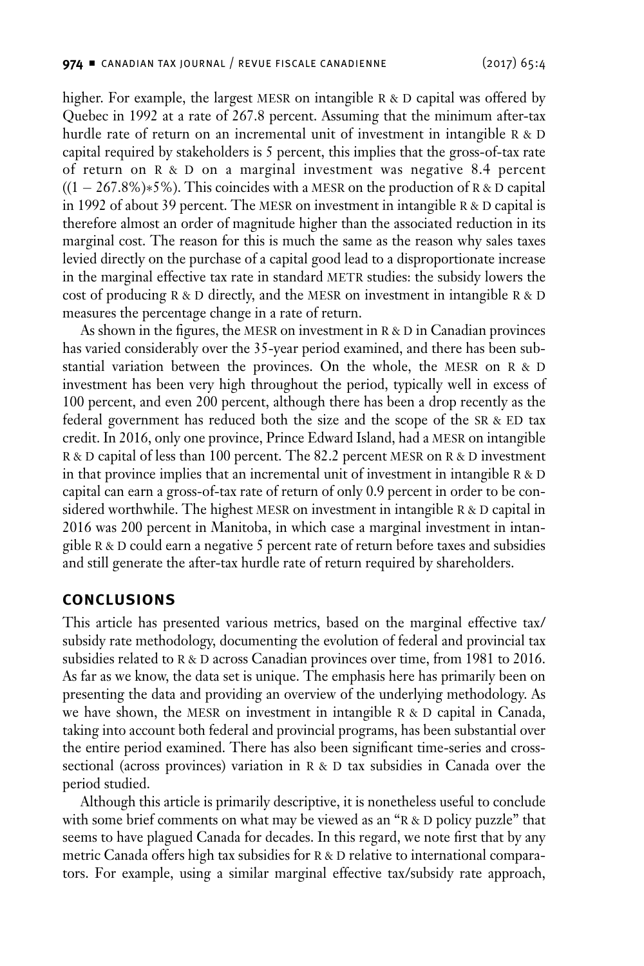<span id="page-23-0"></span>higher. For example, the largest MESR on intangible  $R \& D$  capital was offered by Quebec in 1992 at a rate of 267.8 percent. Assuming that the minimum after-tax hurdle rate of return on an incremental unit of investment in intangible  $R & D$ capital required by stakeholders is 5 percent, this implies that the gross-of-tax rate of return on  $R \& D$  on a marginal investment was negative 8.4 percent  $((1 – 267.8\%) * 5\%)$ . This coincides with a MESR on the production of R & D capital in 1992 of about 39 percent. The MESR on investment in intangible  $R & D$  capital is therefore almost an order of magnitude higher than the associated reduction in its marginal cost. The reason for this is much the same as the reason why sales taxes levied directly on the purchase of a capital good lead to a disproportionate increase in the marginal effective tax rate in standard METR studies: the subsidy lowers the cost of producing  $R$  & D directly, and the MESR on investment in intangible  $R$  & D measures the percentage change in a rate of return.

As shown in the figures, the MESR on investment in  $R & D$  in Canadian provinces has varied considerably over the 35-year period examined, and there has been substantial variation between the provinces. On the whole, the MESR on R & D investment has been very high throughout the period, typically well in excess of 100 percent, and even 200 percent, although there has been a drop recently as the federal government has reduced both the size and the scope of the SR  $\&$  ED tax credit. In 2016, only one province, Prince Edward Island, had a mesr on intangible R & D capital of less than 100 percent. The 82.2 percent MESR on R & D investment in that province implies that an incremental unit of investment in intangible  $R$  &  $D$ capital can earn a gross-of-tax rate of return of only 0.9 percent in order to be considered worthwhile. The highest MESR on investment in intangible  $R & D$  capital in 2016 was 200 percent in Manitoba, in which case a marginal investment in intangible  $R & D$  could earn a negative 5 percent rate of return before taxes and subsidies and still generate the after-tax hurdle rate of return required by shareholders.

#### **Conclusions**

This article has presented various metrics, based on the marginal effective tax/ subsidy rate methodology, documenting the evolution of federal and provincial tax subsidies related to R & D across Canadian provinces over time, from 1981 to 2016. As far as we know, the data set is unique. The emphasis here has primarily been on presenting the data and providing an overview of the underlying methodology. As we have shown, the MESR on investment in intangible  $R & D$  capital in Canada, taking into account both federal and provincial programs, has been substantial over the entire period examined. There has also been significant time-series and crosssectional (across provinces) variation in  $R$  &  $D$  tax subsidies in Canada over the period studied.

Although this article is primarily descriptive, it is nonetheless useful to conclude with some brief comments on what may be viewed as an " $R & D$  policy puzzle" that seems to have plagued Canada for decades. In this regard, we note first that by any metric Canada offers high tax subsidies for R & D relative to international comparators. For example, using a similar marginal effective tax/subsidy rate approach,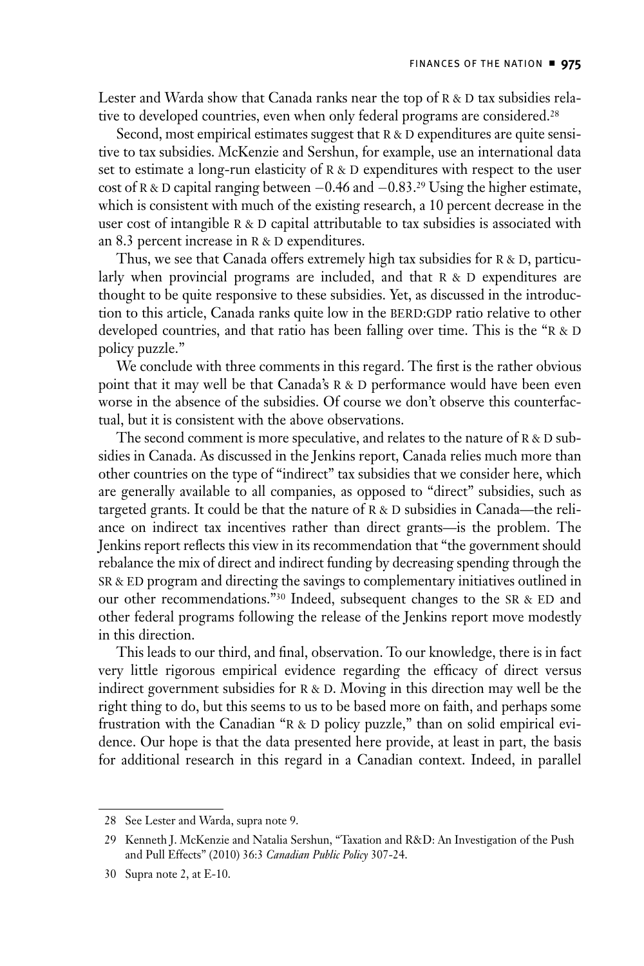Lester and Warda show that Canada ranks near the top of  $R & D$  tax subsidies relative to developed countries, even when only federal programs are considered.<sup>28</sup>

Second, most empirical estimates suggest that  $R > D$  expenditures are quite sensitive to tax subsidies. McKenzie and Sershun, for example, use an international data set to estimate a long-run elasticity of  $R \& D$  expenditures with respect to the user cost of R & D capital ranging between  $-0.46$  and  $-0.83$ .<sup>29</sup> Using the higher estimate, which is consistent with much of the existing research, a 10 percent decrease in the user cost of intangible  $R \& D$  capital attributable to tax subsidies is associated with an 8.3 percent increase in  $R & D$  expenditures.

Thus, we see that Canada offers extremely high tax subsidies for  $R < D$ , particularly when provincial programs are included, and that  $R > D$  expenditures are thought to be quite responsive to these subsidies. Yet, as discussed in the introduction to this article, Canada ranks quite low in the BERD:GDP ratio relative to other developed countries, and that ratio has been falling over time. This is the " $R & D$ policy puzzle."

We conclude with three comments in this regard. The first is the rather obvious point that it may well be that Canada's R & D performance would have been even worse in the absence of the subsidies. Of course we don't observe this counterfactual, but it is consistent with the above observations.

The second comment is more speculative, and relates to the nature of  $R & D$  subsidies in Canada. As discussed in the Jenkins report, Canada relies much more than other countries on the type of "indirect" tax subsidies that we consider here, which are generally available to all companies, as opposed to "direct" subsidies, such as targeted grants. It could be that the nature of  $R & D$  subsidies in Canada—the reliance on indirect tax incentives rather than direct grants—is the problem. The Jenkins report reflects this view in its recommendation that "the government should rebalance the mix of direct and indirect funding by decreasing spending through the SR & ED program and directing the savings to complementary initiatives outlined in our other recommendations."<sup>30</sup> Indeed, subsequent changes to the SR & ED and other federal programs following the release of the Jenkins report move modestly in this direction.

This leads to our third, and final, observation. To our knowledge, there is in fact very little rigorous empirical evidence regarding the efficacy of direct versus indirect government subsidies for  $R & D$ . Moving in this direction may well be the right thing to do, but this seems to us to be based more on faith, and perhaps some frustration with the Canadian " $R & D$  policy puzzle," than on solid empirical evidence. Our hope is that the data presented here provide, at least in part, the basis for additional research in this regard in a Canadian context. Indeed, in parallel

<sup>28</sup> See Lester and Warda, supra note 9.

<sup>29</sup> Kenneth J. McKenzie and Natalia Sershun, "Taxation and R&D: An Investigation of the Push and Pull Effects" (2010) 36:3 *Canadian Public Policy* 307-24.

<sup>30</sup> Supra note 2, at E-10.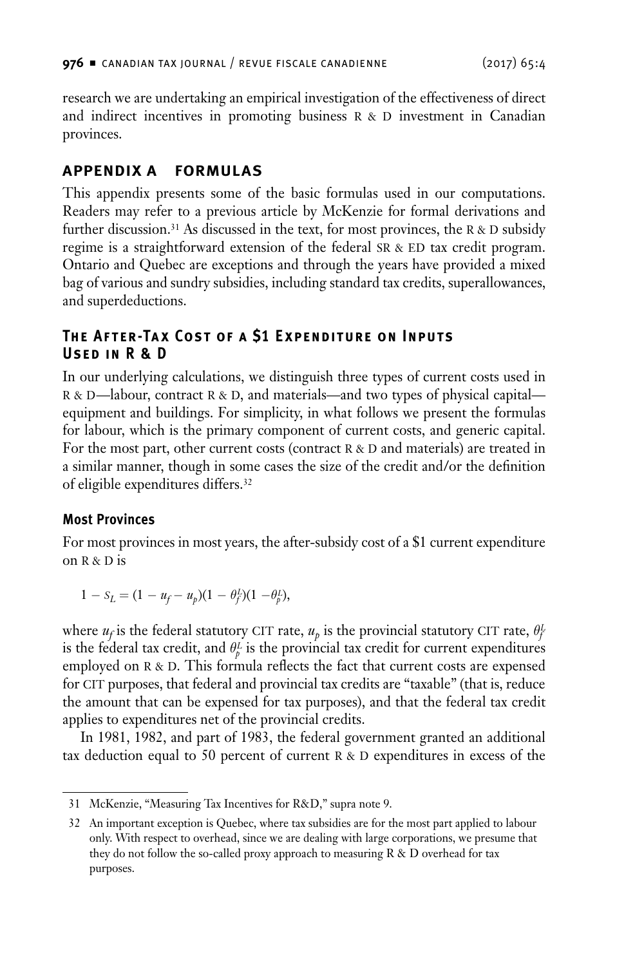<span id="page-25-0"></span>research we are undertaking an empirical investigation of the effectiveness of direct and indirect incentives in promoting business  $R > D$  investment in Canadian provinces.

# **Appendix A Formulas**

This appendix presents some of the basic formulas used in our computations. Readers may refer to a previous article by McKenzie for formal derivations and further discussion.<sup>31</sup> As discussed in the text, for most provinces, the R & D subsidy regime is a straightforward extension of the federal  $SR & ED$  tax credit program. Ontario and Quebec are exceptions and through the years have provided a mixed bag of various and sundry subsidies, including standard tax credits, superallowances, and superdeductions.

# **The After-Tax Cost of a \$1 Expenditure on Inputs Used in R & D**

In our underlying calculations, we distinguish three types of current costs used in R & D—labour, contract R & D, and materials—and two types of physical capital equipment and buildings. For simplicity, in what follows we present the formulas for labour, which is the primary component of current costs, and generic capital. For the most part, other current costs (contract  $R & D$  and materials) are treated in a similar manner, though in some cases the size of the credit and/or the definition of eligible expenditures differs.32

## **Most Provinces**

For most provinces in most years, the after-subsidy cost of a \$1 current expenditure on  $R & D$  is

$$
1 - S_L = (1 - u_f - u_p)(1 - \theta_f^L)(1 - \theta_p^L),
$$

where  $u_f$  is the federal statutory CIT rate,  $u_p$  is the provincial statutory CIT rate,  $\theta_f^L$ is the federal tax credit, and  $\theta_p^L$  is the provincial tax credit for current expenditures employed on  $R \& D$ . This formula reflects the fact that current costs are expensed for CIT purposes, that federal and provincial tax credits are "taxable" (that is, reduce the amount that can be expensed for tax purposes), and that the federal tax credit applies to expenditures net of the provincial credits.

In 1981, 1982, and part of 1983, the federal government granted an additional tax deduction equal to 50 percent of current  $R & D$  expenditures in excess of the

<sup>31</sup> McKenzie, "Measuring Tax Incentives for R&D," supra note 9.

<sup>32</sup> An important exception is Quebec, where tax subsidies are for the most part applied to labour only. With respect to overhead, since we are dealing with large corporations, we presume that they do not follow the so-called proxy approach to measuring R & D overhead for tax purposes.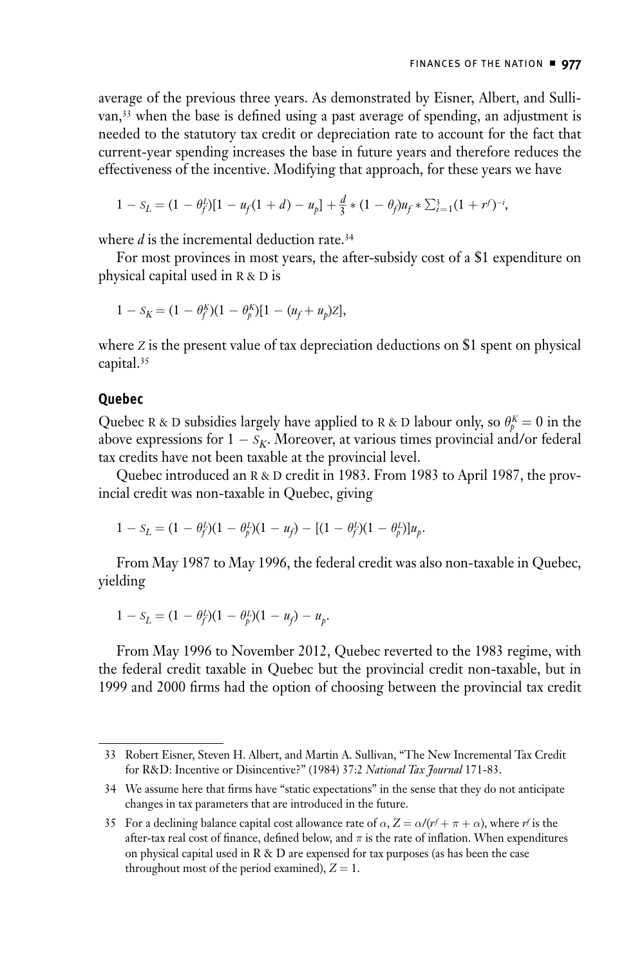<span id="page-26-0"></span>average of the previous three years. As demonstrated by Eisner, Albert, and Sullivan,<sup>33</sup> when the base is defined using a past average of spending, an adjustment is needed to the statutory tax credit or depreciation rate to account for the fact that current-year spending increases the base in future years and therefore reduces the effectiveness of the incentive. Modifying that approach, for these years we have

$$
1 - S_L = (1 - \theta_f^L)[1 - u_f(1 + d) - u_p] + \frac{d}{3} * (1 - \theta_f)u_f * \sum_{i=1}^3 (1 + r^f)^{-i},
$$

where *d* is the incremental deduction rate.<sup>34</sup>

For most provinces in most years, the after-subsidy cost of a \$1 expenditure on physical capital used in R & D is

$$
1 - S_K = (1 - \theta_f^K)(1 - \theta_p^K)[1 - (u_f + u_p)Z],
$$

where *z* is the present value of tax depreciation deductions on \$1 spent on physical capital.35

#### **Quebec**

Quebec R & D subsidies largely have applied to R & D labour only, so  $\theta_p^K = 0$  in the above expressions for  $1 - s_K$ . Moreover, at various times provincial and/or federal tax credits have not been taxable at the provincial level.

Quebec introduced an R & D credit in 1983. From 1983 to April 1987, the provincial credit was non-taxable in Quebec, giving

$$
1 - S_L = (1 - \theta_f^L)(1 - \theta_p^L)(1 - u_f) - [(1 - \theta_f^L)(1 - \theta_p^L)]u_p.
$$

From May 1987 to May 1996, the federal credit was also non-taxable in Quebec, yielding

$$
1 - S_L = (1 - \theta_f^L)(1 - \theta_p^L)(1 - u_f) - u_p.
$$

From May 1996 to November 2012, Quebec reverted to the 1983 regime, with the federal credit taxable in Quebec but the provincial credit non-taxable, but in 1999 and 2000 firms had the option of choosing between the provincial tax credit

<sup>33</sup> Robert Eisner, Steven H. Albert, and Martin A. Sullivan, "The New Incremental Tax Credit for R&D: Incentive or Disincentive?" (1984) 37:2 *National Tax Journal* 171-83.

<sup>34</sup> We assume here that firms have "static expectations" in the sense that they do not anticipate changes in tax parameters that are introduced in the future.

<sup>35</sup> For a declining balance capital cost allowance rate of  $\alpha$ ,  $Z = \alpha/(r^f + \pi + \alpha)$ , where  $r^f$  is the after-tax real cost of finance, defined below, and *π* is the rate of inflation. When expenditures on physical capital used in R & D are expensed for tax purposes (as has been the case throughout most of the period examined),  $Z = 1$ .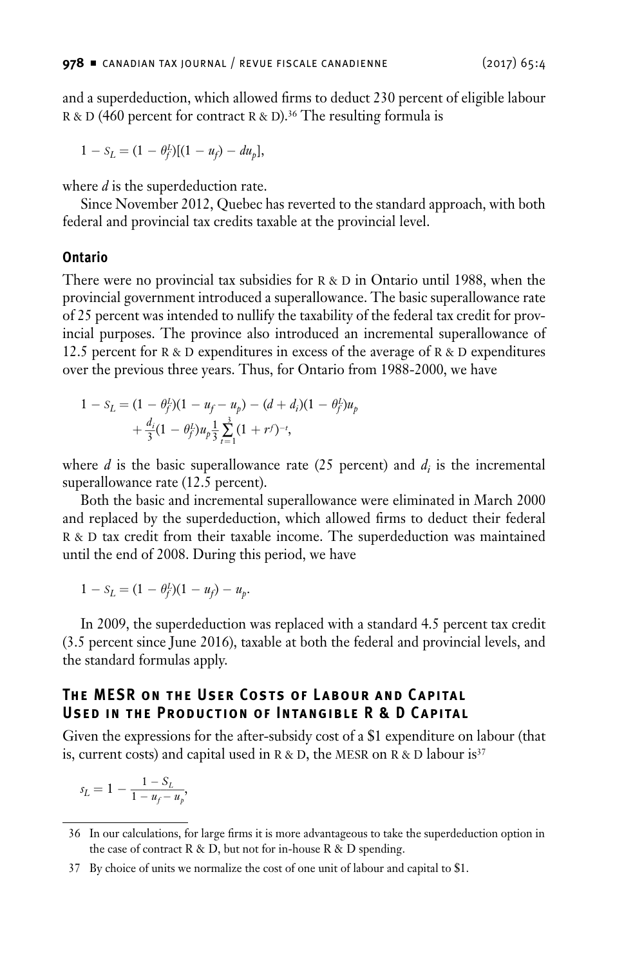<span id="page-27-0"></span>and a superdeduction, which allowed firms to deduct 230 percent of eligible labour R & D (460 percent for contract R & D).<sup>36</sup> The resulting formula is

$$
1 - S_L = (1 - \theta_f^L)[(1 - u_f) - du_p],
$$

where *d* is the superdeduction rate.

Since November 2012, Quebec has reverted to the standard approach, with both federal and provincial tax credits taxable at the provincial level.

#### **Ontario**

There were no provincial tax subsidies for  $R \& D$  in Ontario until 1988, when the provincial government introduced a superallowance. The basic superallowance rate of 25 percent was intended to nullify the taxability of the federal tax credit for provincial purposes. The province also introduced an incremental superallowance of 12.5 percent for  $R \& D$  expenditures in excess of the average of  $R \& D$  expenditures over the previous three years. Thus, for Ontario from 1988-2000, we have

$$
1 - S_L = (1 - \theta_f^L)(1 - u_f - u_p) - (d + d_i)(1 - \theta_f^L)u_p
$$
  
+ 
$$
\frac{d_i}{3}(1 - \theta_f^L)u_p \frac{1}{3} \sum_{t=1}^3 (1 + rf)^{-t},
$$

where  $d$  is the basic superallowance rate  $(25$  percent) and  $d_i$  is the incremental superallowance rate (12.5 percent).

Both the basic and incremental superallowance were eliminated in March 2000 and replaced by the superdeduction, which allowed firms to deduct their federal R & D tax credit from their taxable income. The superdeduction was maintained until the end of 2008. During this period, we have

 $1 - S_L = (1 - \theta_f^L)(1 - u_f) - u_p.$ 

In 2009, the superdeduction was replaced with a standard 4.5 percent tax credit (3.5 percent since June 2016), taxable at both the federal and provincial levels, and the standard formulas apply.

## **The MESR on the User Costs of Labour and C apital Used in the Production of Intangible R & D Capital**

Given the expressions for the after-subsidy cost of a \$1 expenditure on labour (that is, current costs) and capital used in  $R \& D$ , the MESR on  $R \& D$  labour is<sup>37</sup>

$$
s_L = 1 - \frac{1 - S_L}{1 - u_f - u_p},
$$

<sup>36</sup> In our calculations, for large firms it is more advantageous to take the superdeduction option in the case of contract R & D, but not for in-house R & D spending.

<sup>37</sup> By choice of units we normalize the cost of one unit of labour and capital to \$1.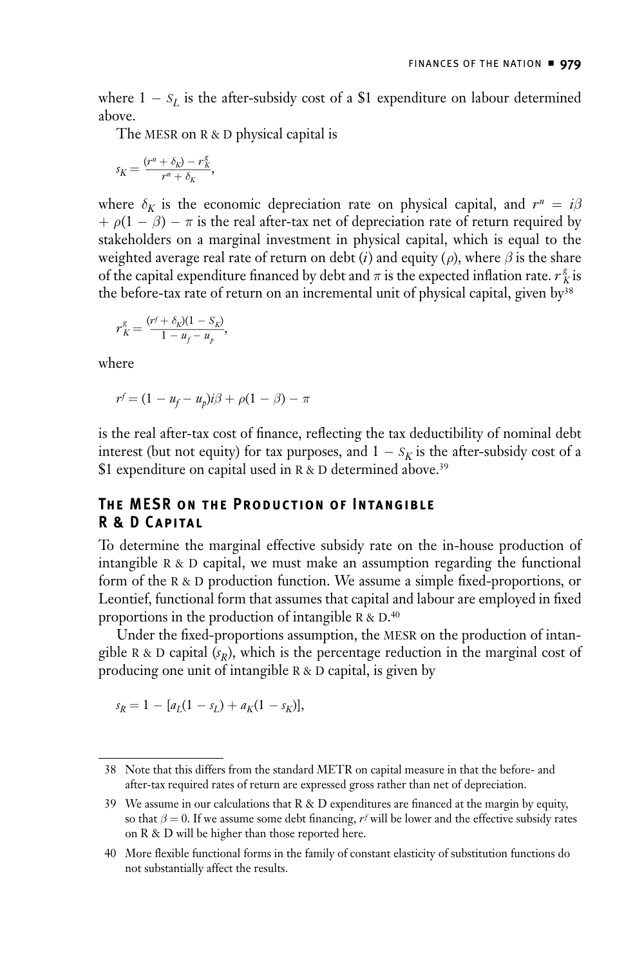<span id="page-28-0"></span>where  $1 - s_L$  is the after-subsidy cost of a \$1 expenditure on labour determined above.

The MESR on  $R > D$  physical capital is

$$
s_K = \frac{(r^n + \delta_K) - r_K^g}{r^n + \delta_K},
$$

where  $\delta_K$  is the economic depreciation rate on physical capital, and  $r^n = i\beta$  $+ \rho(1 - \beta) - \pi$  is the real after-tax net of depreciation rate of return required by stakeholders on a marginal investment in physical capital, which is equal to the weighted average real rate of return on debt (*i*) and equity ( $\rho$ ), where  $\beta$  is the share of the capital expenditure financed by debt and  $\pi$  is the expected inflation rate.  $r_K^g$  is the before-tax rate of return on an incremental unit of physical capital, given by<sup>38</sup><br>  $r_K^g = \frac{(r^f + \delta_K)(1 - S_K)}{1 - u_f - u_p}$ ,

$$
r_K^g = \frac{(r^f + \delta_K)(1 - S_K)}{1 - u_f - u_p},
$$

where

$$
r^f = (1 - u_f - u_p)i\beta + \rho(1 - \beta) - \pi
$$

is the real after-tax cost of finance, reflecting the tax deductibility of nominal debt interest (but not equity) for tax purposes, and  $1 - s<sub>K</sub>$  is the after-subsidy cost of a \$1 expenditure on capital used in R & D determined above.<sup>39</sup>

## **The MESR on the Production of Intangible R & D Capital**

To determine the marginal effective subsidy rate on the in-house production of intangible  $R$  &  $D$  capital, we must make an assumption regarding the functional form of the R & D production function. We assume a simple fixed-proportions, or Leontief, functional form that assumes that capital and labour are employed in fixed proportions in the production of intangible R & D.<sup>40</sup>

Under the fixed-proportions assumption, the MESR on the production of intangible R & D capital  $(s_R)$ , which is the percentage reduction in the marginal cost of producing one unit of intangible  $R & D$  capital, is given by

$$
s_R = 1 - [a_L(1 - s_L) + a_K(1 - s_K)],
$$

<sup>38</sup> Note that this differs from the standard METR on capital measure in that the before- and after-tax required rates of return are expressed gross rather than net of depreciation.

<sup>39</sup> We assume in our calculations that R & D expenditures are financed at the margin by equity, so that  $\beta = 0$ . If we assume some debt financing,  $r^f$  will be lower and the effective subsidy rates on R & D will be higher than those reported here.

<sup>40</sup> More flexible functional forms in the family of constant elasticity of substitution functions do not substantially affect the results.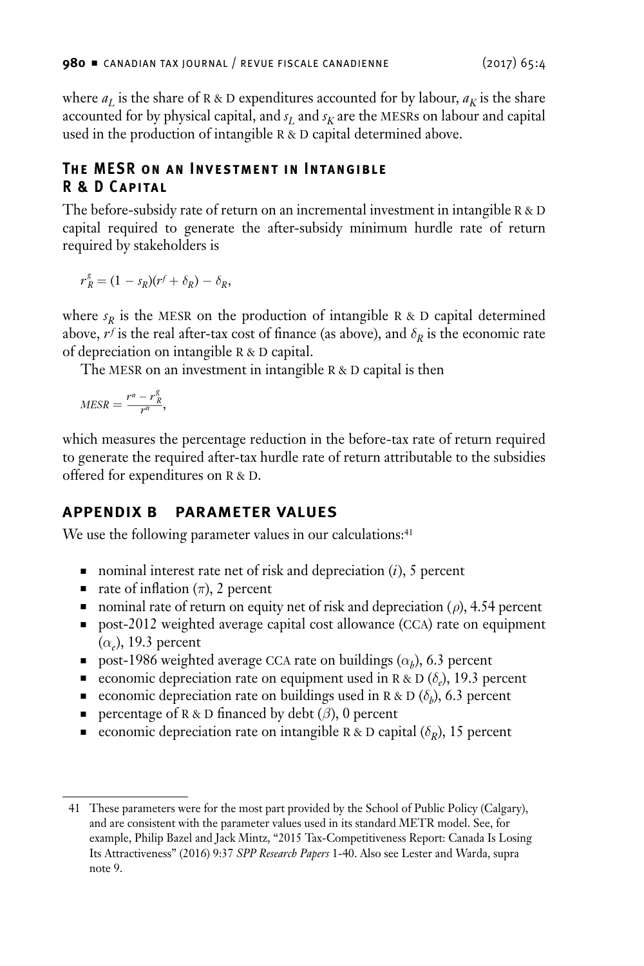<span id="page-29-0"></span>where  $a_L$  is the share of R & D expenditures accounted for by labour,  $a_K$  is the share accounted for by physical capital, and  $s_L$  and  $s_K$  are the MESRs on labour and capital used in the production of intangible  $R & D$  capital determined above.

## **The MESR on an Investment in Intangible R & D Capital**

The before-subsidy rate of return on an incremental investment in intangible  $R & D$ capital required to generate the after-subsidy minimum hurdle rate of return required by stakeholders is

 $r_R^g = (1 - s_R)(r^f + \delta_R) - \delta_R,$ 

where  $s_R$  is the MESR on the production of intangible R & D capital determined above,  $r^f$  is the real after-tax cost of finance (as above), and  $\delta_R$  is the economic rate of depreciation on intangible  $R & D$  capital.

The MESR on an investment in intangible  $R \& D$  capital is then

 $MESR = \frac{r^n - r_R^g}{r^n},$ 

which measures the percentage reduction in the before-tax rate of return required to generate the required after-tax hurdle rate of return attributable to the subsidies offered for expenditures on  $R & D$ .

# **Appendix B Parameter Values**

We use the following parameter values in our calculations:<sup>41</sup>

- nominal interest rate net of risk and depreciation  $(i)$ , 5 percent
- n rate of inflation  $(\pi)$ , 2 percent
- nominal rate of return on equity net of risk and depreciation  $(\rho)$ , 4.54 percent
- post-2012 weighted average capital cost allowance (CCA) rate on equipment  $(\alpha_e)$ , 19.3 percent
- n post-1986 weighted average CCA rate on buildings  $(\alpha_b)$ , 6.3 percent
- economic depreciation rate on equipment used in R & D  $(\delta_e)$ , 19.3 percent
- economic depreciation rate on buildings used in R & D ( $\delta_b$ ), 6.3 percent
- **n** percentage of R & D financed by debt  $(\beta)$ , 0 percent
- economic depreciation rate on intangible R & D capital  $(\delta_R)$ , 15 percent

<sup>41</sup> These parameters were for the most part provided by the School of Public Policy (Calgary), and are consistent with the parameter values used in its standard METR model. See, for example, Philip Bazel and Jack Mintz, "2015 Tax-Competitiveness Report: Canada Is Losing Its Attractiveness" (2016) 9:37 *SPP Research Papers* 1-40. Also see Lester and Warda, supra note 9.